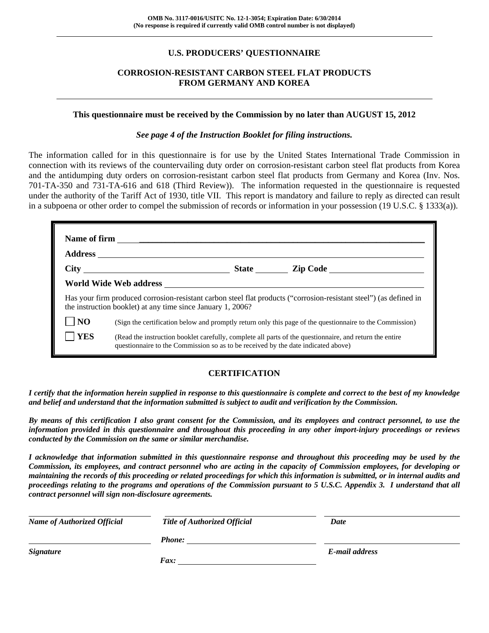# **U.S. PRODUCERS' QUESTIONNAIRE**

# **CORROSION-RESISTANT CARBON STEEL FLAT PRODUCTS FROM GERMANY AND KOREA**

#### **This questionnaire must be received by the Commission by no later than AUGUST 15, 2012**

#### *See page 4 of the Instruction Booklet for filing instructions.*

The information called for in this questionnaire is for use by the United States International Trade Commission in connection with its reviews of the countervailing duty order on corrosion-resistant carbon steel flat products from Korea and the antidumping duty orders on corrosion-resistant carbon steel flat products from Germany and Korea (Inv. Nos. 701-TA-350 and 731-TA-616 and 618 (Third Review)). The information requested in the questionnaire is requested under the authority of the Tariff Act of 1930, title VII. This report is mandatory and failure to reply as directed can result in a subpoena or other order to compel the submission of records or information in your possession (19 U.S.C. § 1333(a)).

|                | Name of firm $\qquad \qquad$                                                                                                                                                                 |
|----------------|----------------------------------------------------------------------------------------------------------------------------------------------------------------------------------------------|
|                |                                                                                                                                                                                              |
|                | State <u>Lip Code</u>                                                                                                                                                                        |
|                |                                                                                                                                                                                              |
|                | Has your firm produced corrosion-resistant carbon steel flat products ("corrosion-resistant steel") (as defined in<br>the instruction booklet) at any time since January 1, 2006?            |
| N <sub>O</sub> | (Sign the certification below and promptly return only this page of the questionnaire to the Commission)                                                                                     |
| <b>YES</b>     | (Read the instruction booklet carefully, complete all parts of the questionnaire, and return the entire<br>questionnaire to the Commission so as to be received by the date indicated above) |

# **CERTIFICATION**

*I certify that the information herein supplied in response to this questionnaire is complete and correct to the best of my knowledge and belief and understand that the information submitted is subject to audit and verification by the Commission.* 

*By means of this certification I also grant consent for the Commission, and its employees and contract personnel, to use the information provided in this questionnaire and throughout this proceeding in any other import-injury proceedings or reviews conducted by the Commission on the same or similar merchandise.* 

*I acknowledge that information submitted in this questionnaire response and throughout this proceeding may be used by the Commission, its employees, and contract personnel who are acting in the capacity of Commission employees, for developing or maintaining the records of this proceeding or related proceedings for which this information is submitted, or in internal audits and proceedings relating to the programs and operations of the Commission pursuant to 5 U.S.C. Appendix 3. I understand that all contract personnel will sign non-disclosure agreements.* 

| <b>Name of Authorized Official</b> | <b>Title of Authorized Official</b> | Date           |  |
|------------------------------------|-------------------------------------|----------------|--|
|                                    | <b>Phone:</b>                       |                |  |
| <b>Signature</b>                   |                                     | E-mail address |  |
|                                    | Fax:                                |                |  |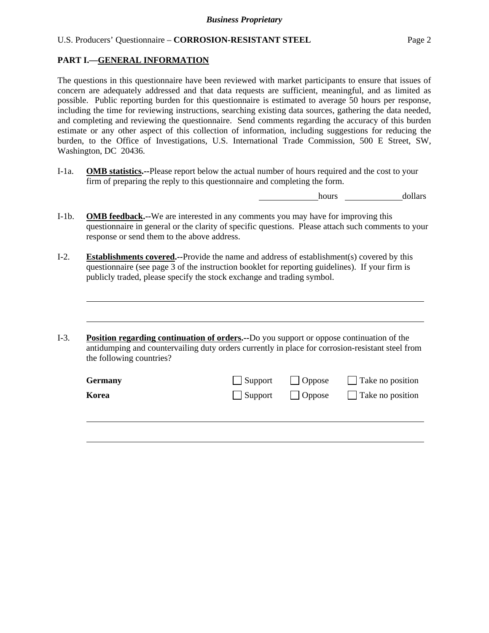#### **PART I.—GENERAL INFORMATION**

l

l

The questions in this questionnaire have been reviewed with market participants to ensure that issues of concern are adequately addressed and that data requests are sufficient, meaningful, and as limited as possible. Public reporting burden for this questionnaire is estimated to average 50 hours per response, including the time for reviewing instructions, searching existing data sources, gathering the data needed, and completing and reviewing the questionnaire. Send comments regarding the accuracy of this burden estimate or any other aspect of this collection of information, including suggestions for reducing the burden, to the Office of Investigations, U.S. International Trade Commission, 500 E Street, SW, Washington, DC 20436.

I-1a. **OMB statistics.--**Please report below the actual number of hours required and the cost to your firm of preparing the reply to this questionnaire and completing the form.

hours dollars

- I-1b. **OMB feedback.--**We are interested in any comments you may have for improving this questionnaire in general or the clarity of specific questions. Please attach such comments to your response or send them to the above address.
- I-2. **Establishments covered.--**Provide the name and address of establishment(s) covered by this questionnaire (see page 3 of the instruction booklet for reporting guidelines). If your firm is publicly traded, please specify the stock exchange and trading symbol.
- I-3. **Position regarding continuation of orders.--**Do you support or oppose continuation of the antidumping and countervailing duty orders currently in place for corrosion-resistant steel from the following countries?

| Germany | $\Box$ Support $\Box$ Oppose | Take no position                                     |
|---------|------------------------------|------------------------------------------------------|
| Korea   |                              | $\Box$ Support $\Box$ Oppose $\Box$ Take no position |
|         |                              |                                                      |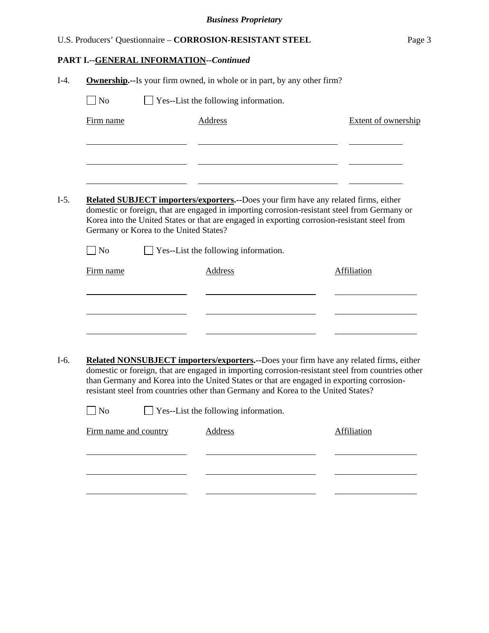|        |                                                                                    | U.S. Producers' Questionnaire - CORROSION-RESISTANT STEEL                                                                                                                                                                                                                                                                                                                     | Page 3              |
|--------|------------------------------------------------------------------------------------|-------------------------------------------------------------------------------------------------------------------------------------------------------------------------------------------------------------------------------------------------------------------------------------------------------------------------------------------------------------------------------|---------------------|
|        | PART I.--GENERAL INFORMATION--Continued                                            |                                                                                                                                                                                                                                                                                                                                                                               |                     |
| $I-4.$ |                                                                                    | <b>Ownership.</b> --Is your firm owned, in whole or in part, by any other firm?                                                                                                                                                                                                                                                                                               |                     |
|        | N <sub>o</sub>                                                                     | $\Box$ Yes--List the following information.                                                                                                                                                                                                                                                                                                                                   |                     |
|        | Firm name                                                                          | <b>Address</b>                                                                                                                                                                                                                                                                                                                                                                | Extent of ownership |
| $I-5.$ | Germany or Korea to the United States?<br>$\overline{\phantom{a}}$ No<br>Firm name | <b>Related SUBJECT importers/exporters.</b> --Does your firm have any related firms, either<br>domestic or foreign, that are engaged in importing corrosion-resistant steel from Germany or<br>Korea into the United States or that are engaged in exporting corrosion-resistant steel from<br>$\Box$ Yes--List the following information.<br>Address                         | Affiliation         |
|        |                                                                                    |                                                                                                                                                                                                                                                                                                                                                                               |                     |
| $I-6.$ |                                                                                    | Related NONSUBJECT importers/exporters.--Does your firm have any related firms, either<br>domestic or foreign, that are engaged in importing corrosion-resistant steel from countries other<br>than Germany and Korea into the United States or that are engaged in exporting corrosion-<br>resistant steel from countries other than Germany and Korea to the United States? |                     |
|        | N <sub>o</sub>                                                                     | Yes--List the following information.                                                                                                                                                                                                                                                                                                                                          |                     |
|        | Firm name and country                                                              | Address                                                                                                                                                                                                                                                                                                                                                                       | Affiliation         |
|        |                                                                                    |                                                                                                                                                                                                                                                                                                                                                                               |                     |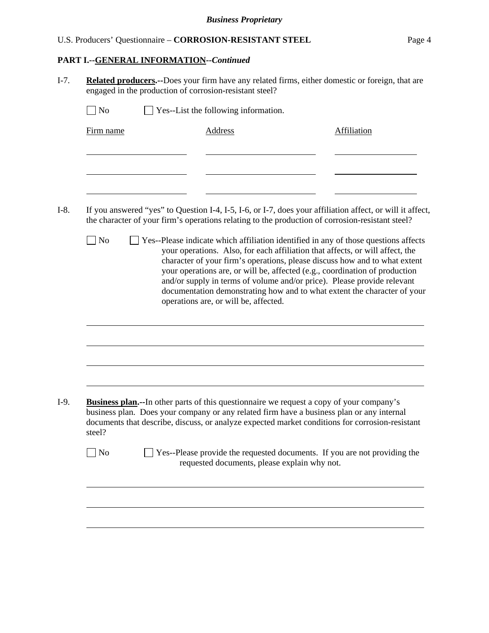#### **PART I.--GENERAL INFORMATION***--Continued*

l

| $\overline{N}$ |                                                                                                                                                                                                               |                    |
|----------------|---------------------------------------------------------------------------------------------------------------------------------------------------------------------------------------------------------------|--------------------|
| Firm name      | <b>Address</b>                                                                                                                                                                                                | <b>Affiliation</b> |
|                |                                                                                                                                                                                                               |                    |
|                |                                                                                                                                                                                                               |                    |
|                |                                                                                                                                                                                                               |                    |
|                | If you answered "yes" to Question I-4, I-5, I-6, or I-7, does your affiliation affect, or will it affect,<br>the character of your firm's operations relating to the production of corrosion-resistant steel? |                    |

I-9. **Business plan.--**In other parts of this questionnaire we request a copy of your company's business plan. Does your company or any related firm have a business plan or any internal documents that describe, discuss, or analyze expected market conditions for corrosion-resistant steel?

| $\Box$ No | $\Box$ Yes--Please provide the requested documents. If you are not providing the |
|-----------|----------------------------------------------------------------------------------|
|           | requested documents, please explain why not.                                     |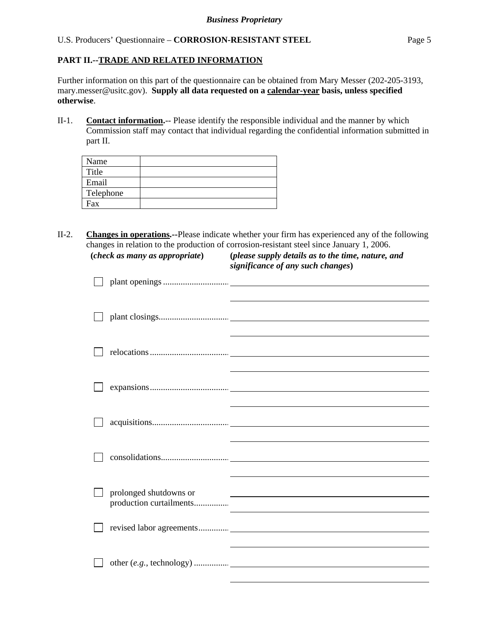# **PART II.--TRADE AND RELATED INFORMATION**

Further information on this part of the questionnaire can be obtained from Mary Messer (202-205-3193, mary.messer@usitc.gov). **Supply all data requested on a calendar-year basis, unless specified otherwise**.

II-1. **Contact information.**-- Please identify the responsible individual and the manner by which Commission staff may contact that individual regarding the confidential information submitted in part II.

| Name      |  |
|-----------|--|
| Title     |  |
| Email     |  |
| Telephone |  |
| Fax       |  |
|           |  |

II-2. **Changes in operations.--**Please indicate whether your firm has experienced any of the following changes in relation to the production of corrosion-resistant steel since January 1, 2006. **(***check as many as appropriate***) (***please supply details as to the time, nature, and* 

*significance of any such changes***)** 

| prolonged shutdowns or |  | <u> 1989 - Andrea Andrew Maria (h. 1989).</u> |  |
|------------------------|--|-----------------------------------------------|--|
|                        |  |                                               |  |
|                        |  |                                               |  |
|                        |  |                                               |  |
|                        |  |                                               |  |
|                        |  |                                               |  |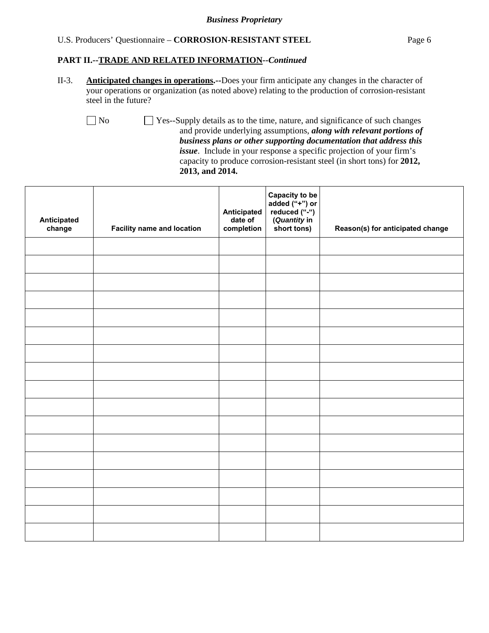#### *Business Proprietary*

#### U.S. Producers' Questionnaire – **CORROSION-RESISTANT STEEL** Page 6

#### **PART II.--TRADE AND RELATED INFORMATION***--Continued*

II-3. **Anticipated changes in operations.--**Does your firm anticipate any changes in the character of your operations or organization (as noted above) relating to the production of corrosion-resistant steel in the future?

No  $\Box$  Yes--Supply details as to the time, nature, and significance of such changes and provide underlying assumptions, *along with relevant portions of business plans or other supporting documentation that address this issue*. Include in your response a specific projection of your firm's capacity to produce corrosion-resistant steel (in short tons) for **2012, 2013, and 2014.**

| Anticipated<br>change | <b>Facility name and location</b> | Anticipated<br>date of<br>completion | Capacity to be<br>added ("+") or<br>reduced ("-")<br>(Quantity in<br>short tons) | Reason(s) for anticipated change |
|-----------------------|-----------------------------------|--------------------------------------|----------------------------------------------------------------------------------|----------------------------------|
|                       |                                   |                                      |                                                                                  |                                  |
|                       |                                   |                                      |                                                                                  |                                  |
|                       |                                   |                                      |                                                                                  |                                  |
|                       |                                   |                                      |                                                                                  |                                  |
|                       |                                   |                                      |                                                                                  |                                  |
|                       |                                   |                                      |                                                                                  |                                  |
|                       |                                   |                                      |                                                                                  |                                  |
|                       |                                   |                                      |                                                                                  |                                  |
|                       |                                   |                                      |                                                                                  |                                  |
|                       |                                   |                                      |                                                                                  |                                  |
|                       |                                   |                                      |                                                                                  |                                  |
|                       |                                   |                                      |                                                                                  |                                  |
|                       |                                   |                                      |                                                                                  |                                  |
|                       |                                   |                                      |                                                                                  |                                  |
|                       |                                   |                                      |                                                                                  |                                  |
|                       |                                   |                                      |                                                                                  |                                  |
|                       |                                   |                                      |                                                                                  |                                  |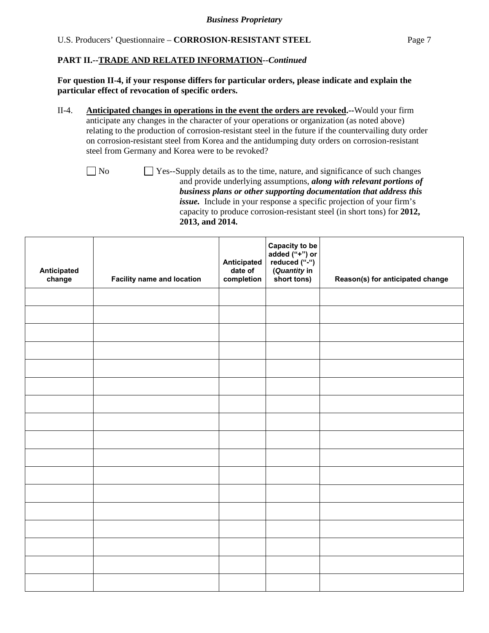**For question II-4, if your response differs for particular orders, please indicate and explain the particular effect of revocation of specific orders.** 

II-4. **Anticipated changes in operations in the event the orders are revoked.--**Would your firm anticipate any changes in the character of your operations or organization (as noted above) relating to the production of corrosion-resistant steel in the future if the countervailing duty order on corrosion-resistant steel from Korea and the antidumping duty orders on corrosion-resistant steel from Germany and Korea were to be revoked?

No  $\Box$  Yes--Supply details as to the time, nature, and significance of such changes and provide underlying assumptions, *along with relevant portions of business plans or other supporting documentation that address this issue.* Include in your response a specific projection of your firm's capacity to produce corrosion-resistant steel (in short tons) for **2012, 2013, and 2014.**

| Anticipated<br>change | <b>Facility name and location</b> | Anticipated<br>date of<br>completion | Capacity to be<br>added ("+") or<br>reduced ("-")<br>(Quantity in<br>short tons) | Reason(s) for anticipated change |
|-----------------------|-----------------------------------|--------------------------------------|----------------------------------------------------------------------------------|----------------------------------|
|                       |                                   |                                      |                                                                                  |                                  |
|                       |                                   |                                      |                                                                                  |                                  |
|                       |                                   |                                      |                                                                                  |                                  |
|                       |                                   |                                      |                                                                                  |                                  |
|                       |                                   |                                      |                                                                                  |                                  |
|                       |                                   |                                      |                                                                                  |                                  |
|                       |                                   |                                      |                                                                                  |                                  |
|                       |                                   |                                      |                                                                                  |                                  |
|                       |                                   |                                      |                                                                                  |                                  |
|                       |                                   |                                      |                                                                                  |                                  |
|                       |                                   |                                      |                                                                                  |                                  |
|                       |                                   |                                      |                                                                                  |                                  |
|                       |                                   |                                      |                                                                                  |                                  |
|                       |                                   |                                      |                                                                                  |                                  |
|                       |                                   |                                      |                                                                                  |                                  |
|                       |                                   |                                      |                                                                                  |                                  |
|                       |                                   |                                      |                                                                                  |                                  |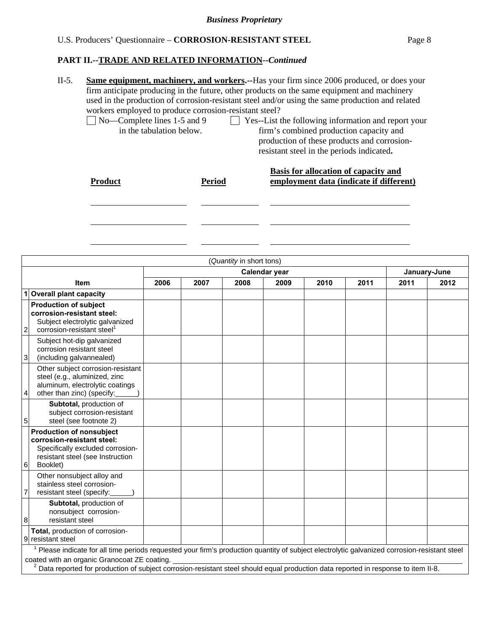**PART II.--TRADE AND RELATED INFORMATION***--Continued* 

| $II-5.$ | workers employed to produce corrosion-resistant steel?<br>$\sqrt{N_0$ No-Complete lines 1-5 and 9<br>in the tabulation below. |               | <b>Same equipment, machinery, and workers.</b> --Has your firm since 2006 produced, or does your<br>firm anticipate producing in the future, other products on the same equipment and machinery<br>used in the production of corrosion-resistant steel and/or using the same production and related<br>Yes--List the following information and report your<br>firm's combined production capacity and<br>production of these products and corrosion- |
|---------|-------------------------------------------------------------------------------------------------------------------------------|---------------|------------------------------------------------------------------------------------------------------------------------------------------------------------------------------------------------------------------------------------------------------------------------------------------------------------------------------------------------------------------------------------------------------------------------------------------------------|
|         | <b>Product</b>                                                                                                                | <b>Period</b> | resistant steel in the periods indicated.<br>Basis for allocation of capacity and<br>employment data (indicate if different)                                                                                                                                                                                                                                                                                                                         |

|                | (Quantity in short tons)                                                                                                                                                                                                                                                                                                                      |      |      |      |               |      |      |      |              |
|----------------|-----------------------------------------------------------------------------------------------------------------------------------------------------------------------------------------------------------------------------------------------------------------------------------------------------------------------------------------------|------|------|------|---------------|------|------|------|--------------|
|                |                                                                                                                                                                                                                                                                                                                                               |      |      |      | Calendar year |      |      |      | January-June |
|                | <b>Item</b>                                                                                                                                                                                                                                                                                                                                   | 2006 | 2007 | 2008 | 2009          | 2010 | 2011 | 2011 | 2012         |
| 1              | <b>Overall plant capacity</b>                                                                                                                                                                                                                                                                                                                 |      |      |      |               |      |      |      |              |
| $\overline{c}$ | <b>Production of subject</b><br>corrosion-resistant steel:<br>Subject electrolytic galvanized<br>corrosion-resistant steel                                                                                                                                                                                                                    |      |      |      |               |      |      |      |              |
| $\mathbf{3}$   | Subject hot-dip galvanized<br>corrosion resistant steel<br>(including galvannealed)                                                                                                                                                                                                                                                           |      |      |      |               |      |      |      |              |
| 4              | Other subject corrosion-resistant<br>steel (e.g., aluminized, zinc<br>aluminum, electrolytic coatings<br>other than zinc) (specify:                                                                                                                                                                                                           |      |      |      |               |      |      |      |              |
| 5 <sub>l</sub> | Subtotal, production of<br>subject corrosion-resistant<br>steel (see footnote 2)                                                                                                                                                                                                                                                              |      |      |      |               |      |      |      |              |
| 6              | <b>Production of nonsubject</b><br>corrosion-resistant steel:<br>Specifically excluded corrosion-<br>resistant steel (see Instruction<br>Booklet)                                                                                                                                                                                             |      |      |      |               |      |      |      |              |
|                | Other nonsubject alloy and<br>stainless steel corrosion-<br>resistant steel (specify:                                                                                                                                                                                                                                                         |      |      |      |               |      |      |      |              |
| 8              | Subtotal, production of<br>nonsubject corrosion-<br>resistant steel                                                                                                                                                                                                                                                                           |      |      |      |               |      |      |      |              |
| 9              | Total, production of corrosion-<br>resistant steel                                                                                                                                                                                                                                                                                            |      |      |      |               |      |      |      |              |
|                | <sup>1</sup> Please indicate for all time periods requested your firm's production quantity of subject electrolytic galvanized corrosion-resistant steel<br>coated with an organic Granocoat ZE coating.<br>Data reported for production of subject corrosion-resistant steel should equal production data reported in response to item II-8. |      |      |      |               |      |      |      |              |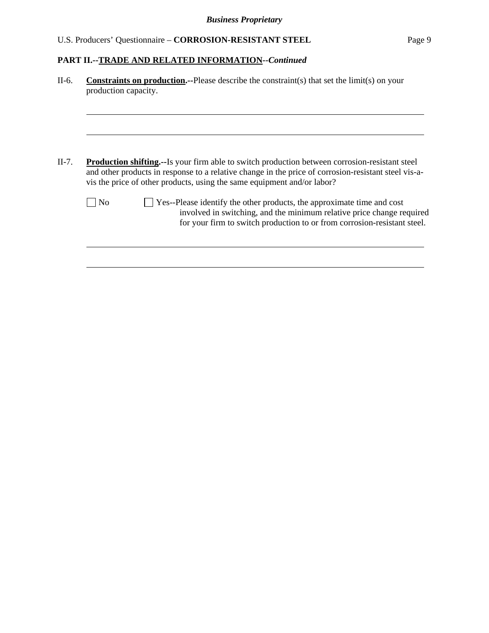| $II-6.$ | <b>Constraints on production.--Please describe the constraints in the limit (s) on your</b><br>production capacity.                                                                                                                                                                       |  |  |  |  |  |  |  |
|---------|-------------------------------------------------------------------------------------------------------------------------------------------------------------------------------------------------------------------------------------------------------------------------------------------|--|--|--|--|--|--|--|
|         |                                                                                                                                                                                                                                                                                           |  |  |  |  |  |  |  |
|         |                                                                                                                                                                                                                                                                                           |  |  |  |  |  |  |  |
| $II-7.$ | <b>Production shifting.</b> --Is your firm able to switch production between corrosion-resistant steel<br>and other products in response to a relative change in the price of corrosion-resistant steel vis-a-<br>vis the price of other products, using the same equipment and/or labor? |  |  |  |  |  |  |  |
|         | Yes--Please identify the other products, the approximate time and cost<br>No<br>involved in switching, and the minimum relative price change required<br>for your firm to switch production to or from corrosion-resistant steel.                                                         |  |  |  |  |  |  |  |
|         |                                                                                                                                                                                                                                                                                           |  |  |  |  |  |  |  |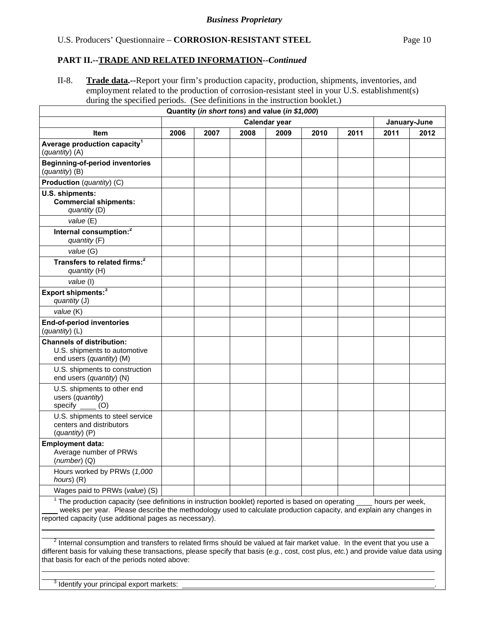II-8. **Trade data.--**Report your firm's production capacity, production, shipments, inventories, and employment related to the production of corrosion-resistant steel in your U.S. establishment(s) during the specified periods. (See definitions in the instruction booklet.)

|                                                                                                                                                                                                                                                                                             |      |               |      | Quantity (in short tons) and value (in \$1,000) |      |      |                 |      |
|---------------------------------------------------------------------------------------------------------------------------------------------------------------------------------------------------------------------------------------------------------------------------------------------|------|---------------|------|-------------------------------------------------|------|------|-----------------|------|
|                                                                                                                                                                                                                                                                                             |      | Calendar year |      |                                                 |      |      | January-June    |      |
| <b>Item</b>                                                                                                                                                                                                                                                                                 | 2006 | 2007          | 2008 | 2009                                            | 2010 | 2011 | 2011            | 2012 |
| Average production capacity <sup>1</sup><br>(quantity) (A)                                                                                                                                                                                                                                  |      |               |      |                                                 |      |      |                 |      |
| <b>Beginning-of-period inventories</b><br>(quantity) (B)                                                                                                                                                                                                                                    |      |               |      |                                                 |      |      |                 |      |
| Production (quantity) (C)                                                                                                                                                                                                                                                                   |      |               |      |                                                 |      |      |                 |      |
| U.S. shipments:<br><b>Commercial shipments:</b><br>quantity (D)                                                                                                                                                                                                                             |      |               |      |                                                 |      |      |                 |      |
| value (E)                                                                                                                                                                                                                                                                                   |      |               |      |                                                 |      |      |                 |      |
| Internal consumption: <sup>2</sup><br>quantity (F)                                                                                                                                                                                                                                          |      |               |      |                                                 |      |      |                 |      |
| value (G)                                                                                                                                                                                                                                                                                   |      |               |      |                                                 |      |      |                 |      |
| Transfers to related firms: <sup>2</sup><br>quantity (H)                                                                                                                                                                                                                                    |      |               |      |                                                 |      |      |                 |      |
| value (I)                                                                                                                                                                                                                                                                                   |      |               |      |                                                 |      |      |                 |      |
| Export shipments: <sup>3</sup><br>quantity (J)                                                                                                                                                                                                                                              |      |               |      |                                                 |      |      |                 |      |
| value (K)                                                                                                                                                                                                                                                                                   |      |               |      |                                                 |      |      |                 |      |
| <b>End-of-period inventories</b><br>(quantity) (L)                                                                                                                                                                                                                                          |      |               |      |                                                 |      |      |                 |      |
| <b>Channels of distribution:</b><br>U.S. shipments to automotive<br>end users (quantity) (M)                                                                                                                                                                                                |      |               |      |                                                 |      |      |                 |      |
| U.S. shipments to construction<br>end users (quantity) (N)                                                                                                                                                                                                                                  |      |               |      |                                                 |      |      |                 |      |
| U.S. shipments to other end<br>users (quantity)<br>specify $\qquad$ (O)                                                                                                                                                                                                                     |      |               |      |                                                 |      |      |                 |      |
| U.S. shipments to steel service<br>centers and distributors<br>(quantity) (P)                                                                                                                                                                                                               |      |               |      |                                                 |      |      |                 |      |
| <b>Employment data:</b><br>Average number of PRWs<br>$(number)$ (Q)                                                                                                                                                                                                                         |      |               |      |                                                 |      |      |                 |      |
| Hours worked by PRWs (1,000<br>hours) (R)                                                                                                                                                                                                                                                   |      |               |      |                                                 |      |      |                 |      |
| Wages paid to PRWs (value) (S)                                                                                                                                                                                                                                                              |      |               |      |                                                 |      |      |                 |      |
| <sup>1</sup> The production capacity (see definitions in instruction booklet) reported is based on operating<br>weeks per year. Please describe the methodology used to calculate production capacity, and explain any changes in<br>reported capacity (use additional pages as necessary). |      |               |      |                                                 |      |      | hours per week, |      |

 $^2$  Internal consumption and transfers to related firms should be valued at fair market value. In the event that you use a different basis for valuing these transactions, please specify that basis (*e.g.*, cost, cost plus, *etc.*) and provide value data using that basis for each of the periods noted above:

 $3$  Identify your principal export markets:  $\Box$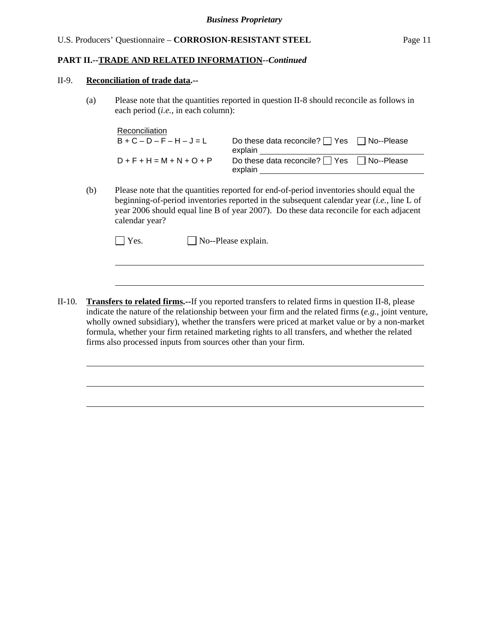#### II-9. **Reconciliation of trade data.--**

l

l

(a) Please note that the quantities reported in question II-8 should reconcile as follows in each period (*i.e.*, in each column):

| Reconciliation              |                                                                  |  |
|-----------------------------|------------------------------------------------------------------|--|
| $B+C-D-F-H-J=L$             | Do these data reconcile? $\Box$ Yes $\Box$ No--Please<br>explain |  |
| $D + F + H = M + N + O + P$ | Do these data reconcile? $\Box$ Yes $\Box$ No--Please<br>explain |  |

(b) Please note that the quantities reported for end-of-period inventories should equal the beginning-of-period inventories reported in the subsequent calendar year (*i.e.*, line L of year 2006 should equal line B of year 2007). Do these data reconcile for each adjacent calendar year?

| Yes. | $\Box$ No--Please explain. |
|------|----------------------------|
|------|----------------------------|

II-10. **Transfers to related firms.--**If you reported transfers to related firms in question II-8, please indicate the nature of the relationship between your firm and the related firms (*e.g.*, joint venture, wholly owned subsidiary), whether the transfers were priced at market value or by a non-market formula, whether your firm retained marketing rights to all transfers, and whether the related firms also processed inputs from sources other than your firm.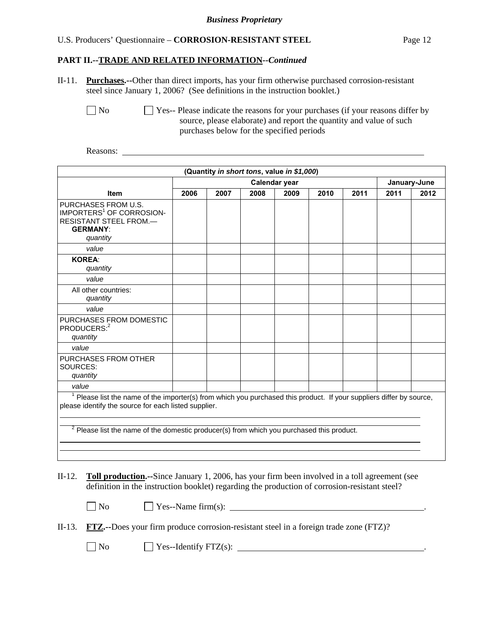#### **PART II.--TRADE AND RELATED INFORMATION***--Continued*

II-11. **Purchases.--**Other than direct imports, has your firm otherwise purchased corrosion-resistant steel since January 1, 2006? (See definitions in the instruction booklet.)

No Ses-- Please indicate the reasons for your purchases (if your reasons differ by source, please elaborate) and report the quantity and value of such purchases below for the specified periods

Reasons:

| (Quantity in short tons, value in \$1,000)                                                                                                                                                                                                                                             |      |                               |      |      |      |      |      |      |
|----------------------------------------------------------------------------------------------------------------------------------------------------------------------------------------------------------------------------------------------------------------------------------------|------|-------------------------------|------|------|------|------|------|------|
|                                                                                                                                                                                                                                                                                        |      | Calendar year<br>January-June |      |      |      |      |      |      |
| <b>Item</b>                                                                                                                                                                                                                                                                            | 2006 | 2007                          | 2008 | 2009 | 2010 | 2011 | 2011 | 2012 |
| PURCHASES FROM U.S.<br>IMPORTERS <sup>1</sup> OF CORROSION-<br>RESISTANT STEEL FROM.-<br><b>GERMANY:</b><br>quantity                                                                                                                                                                   |      |                               |      |      |      |      |      |      |
| value                                                                                                                                                                                                                                                                                  |      |                               |      |      |      |      |      |      |
| <b>KOREA:</b><br>quantity                                                                                                                                                                                                                                                              |      |                               |      |      |      |      |      |      |
| value                                                                                                                                                                                                                                                                                  |      |                               |      |      |      |      |      |      |
| All other countries:<br>quantity                                                                                                                                                                                                                                                       |      |                               |      |      |      |      |      |      |
| value                                                                                                                                                                                                                                                                                  |      |                               |      |      |      |      |      |      |
| PURCHASES FROM DOMESTIC<br>PRODUCERS: <sup>2</sup><br>quantity                                                                                                                                                                                                                         |      |                               |      |      |      |      |      |      |
| value                                                                                                                                                                                                                                                                                  |      |                               |      |      |      |      |      |      |
| PURCHASES FROM OTHER<br>SOURCES:<br>quantity                                                                                                                                                                                                                                           |      |                               |      |      |      |      |      |      |
| value                                                                                                                                                                                                                                                                                  |      |                               |      |      |      |      |      |      |
| <sup>1</sup> Please list the name of the importer(s) from which you purchased this product. If your suppliers differ by source,<br>please identify the source for each listed supplier.<br>$2$ Please list the name of the domestic producer(s) from which you purchased this product. |      |                               |      |      |      |      |      |      |

II-12. **Toll production.--**Since January 1, 2006, has your firm been involved in a toll agreement (see definition in the instruction booklet) regarding the production of corrosion-resistant steel?

 $\Box$  No  $\Box$  Yes--Name firm(s):  $\Box$ 

|  | II-13. <b>FTZ.</b> --Does your firm produce corrosion-resistant steel in a foreign trade zone (FTZ)? |  |
|--|------------------------------------------------------------------------------------------------------|--|
|  |                                                                                                      |  |

 $\Box$  No  $\Box$  Yes--Identify FTZ(s):  $\Box$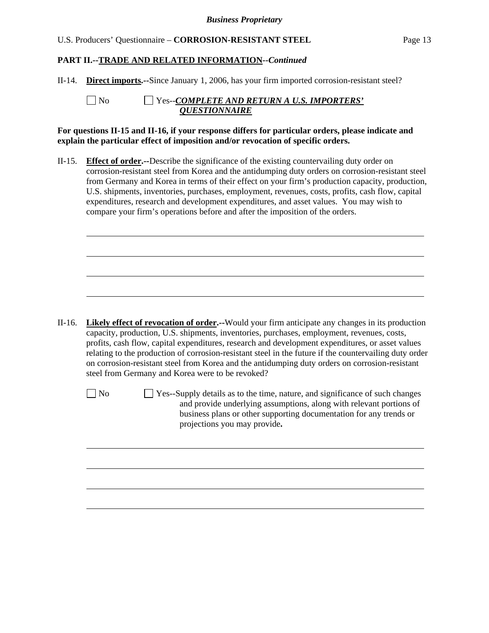# **PART II.--TRADE AND RELATED INFORMATION***--Continued*

II-14. **Direct imports.--**Since January 1, 2006, has your firm imported corrosion-resistant steel?

l

| No | $\Box$ Yes--COMPLETE AND RETURN A U.S. IMPORTERS' |
|----|---------------------------------------------------|
|    | <i><b>OUESTIONNAIRE</b></i>                       |

#### **For questions II-15 and II-16, if your response differs for particular orders, please indicate and explain the particular effect of imposition and/or revocation of specific orders.**

II-15. **Effect of order.--**Describe the significance of the existing countervailing duty order on corrosion-resistant steel from Korea and the antidumping duty orders on corrosion-resistant steel from Germany and Korea in terms of their effect on your firm's production capacity, production, U.S. shipments, inventories, purchases, employment, revenues, costs, profits, cash flow, capital expenditures, research and development expenditures, and asset values. You may wish to compare your firm's operations before and after the imposition of the orders.

- II-16. **Likely effect of revocation of order.--**Would your firm anticipate any changes in its production capacity, production, U.S. shipments, inventories, purchases, employment, revenues, costs, profits, cash flow, capital expenditures, research and development expenditures, or asset values relating to the production of corrosion-resistant steel in the future if the countervailing duty order on corrosion-resistant steel from Korea and the antidumping duty orders on corrosion-resistant steel from Germany and Korea were to be revoked?
	-

l

 $\Box$  No  $\Box$  Yes--Supply details as to the time, nature, and significance of such changes and provide underlying assumptions, along with relevant portions of business plans or other supporting documentation for any trends or projections you may provide**.**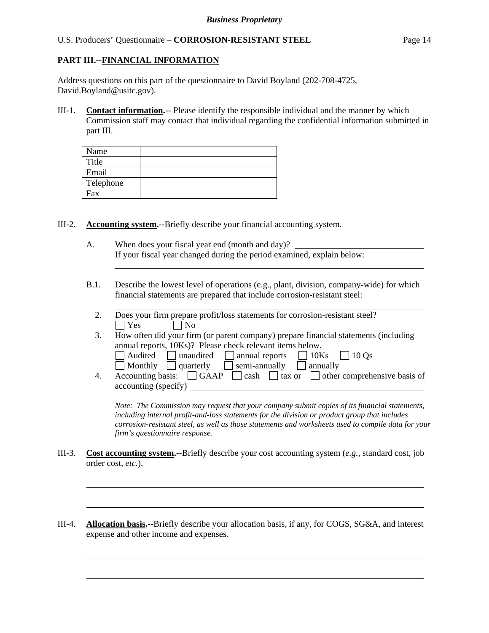### **PART III.--FINANCIAL INFORMATION**

l

l

 $\overline{a}$ 

l

Address questions on this part of the questionnaire to David Boyland (202-708-4725, David.Boyland@usitc.gov).

III-1. **Contact information.**-- Please identify the responsible individual and the manner by which Commission staff may contact that individual regarding the confidential information submitted in part III.

| Name      |  |
|-----------|--|
| Title     |  |
| Email     |  |
| Telephone |  |
| Fax       |  |

III-2. **Accounting system.--**Briefly describe your financial accounting system.

- A. When does your fiscal year end (month and day)? If your fiscal year changed during the period examined, explain below:
- B.1. Describe the lowest level of operations (e.g., plant, division, company-wide) for which financial statements are prepared that include corrosion-resistant steel:
	- 2. Does your firm prepare profit/loss statements for corrosion-resistant steel?  $\Box$  Yes  $\Box$  No
	- 3. How often did your firm (or parent company) prepare financial statements (including annual reports, 10Ks)? Please check relevant items below.
	- $\Box$  Audited  $\Box$  unaudited  $\Box$  annual reports  $\Box$  10Ks  $\Box$  10Qs  $\Box$  Monthly  $\Box$  quarterly  $\Box$  semi-annually  $\Box$  annually 4. Accounting basis:  $\Box$  GAAP  $\Box$  cash  $\Box$  tax or  $\Box$  other comprehensive basis of accounting (specify)

*Note: The Commission may request that your company submit copies of its financial statements, including internal profit-and-loss statements for the division or product group that includes corrosion-resistant steel, as well as those statements and worksheets used to compile data for your firm's questionnaire response.* 

- III-3. **Cost accounting system.--**Briefly describe your cost accounting system (*e.g.*, standard cost, job order cost, *etc.*).
- III-4. **Allocation basis.--**Briefly describe your allocation basis, if any, for COGS, SG&A, and interest expense and other income and expenses.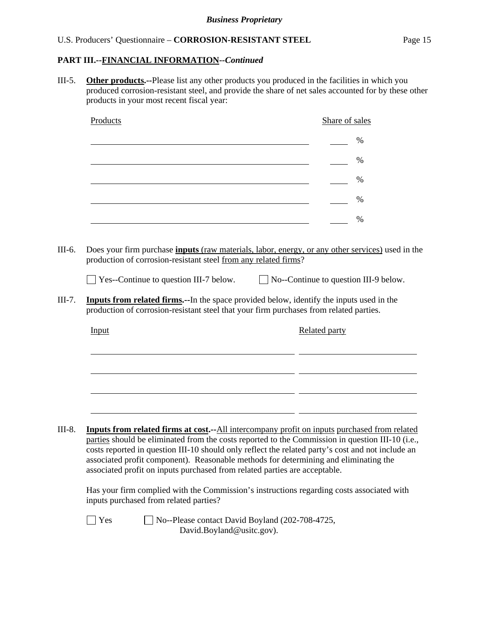# **PART III.--FINANCIAL INFORMATION***--Continued*

III-5. **Other products.--**Please list any other products you produced in the facilities in which you produced corrosion-resistant steel, and provide the share of net sales accounted for by these other products in your most recent fiscal year:

| Products                                                                                                         | Share of sales                                                                                                                                                                                                                                                                                                                                                                                                                                                                      |
|------------------------------------------------------------------------------------------------------------------|-------------------------------------------------------------------------------------------------------------------------------------------------------------------------------------------------------------------------------------------------------------------------------------------------------------------------------------------------------------------------------------------------------------------------------------------------------------------------------------|
|                                                                                                                  | %                                                                                                                                                                                                                                                                                                                                                                                                                                                                                   |
|                                                                                                                  | $\%$                                                                                                                                                                                                                                                                                                                                                                                                                                                                                |
|                                                                                                                  | $\%$                                                                                                                                                                                                                                                                                                                                                                                                                                                                                |
|                                                                                                                  | $\%$                                                                                                                                                                                                                                                                                                                                                                                                                                                                                |
|                                                                                                                  | $\%$                                                                                                                                                                                                                                                                                                                                                                                                                                                                                |
| production of corrosion-resistant steel from any related firms?<br>$\Box$ Yes--Continue to question III-7 below. | $\Box$ No--Continue to question III-9 below.<br><b>Inputs from related firms.</b> --In the space provided below, identify the inputs used in the                                                                                                                                                                                                                                                                                                                                    |
|                                                                                                                  | production of corrosion-resistant steel that your firm purchases from related parties.                                                                                                                                                                                                                                                                                                                                                                                              |
| Input                                                                                                            | <b>Related party</b>                                                                                                                                                                                                                                                                                                                                                                                                                                                                |
|                                                                                                                  |                                                                                                                                                                                                                                                                                                                                                                                                                                                                                     |
|                                                                                                                  |                                                                                                                                                                                                                                                                                                                                                                                                                                                                                     |
|                                                                                                                  |                                                                                                                                                                                                                                                                                                                                                                                                                                                                                     |
|                                                                                                                  |                                                                                                                                                                                                                                                                                                                                                                                                                                                                                     |
|                                                                                                                  | <b>Inputs from related firms at cost.</b> --All intercompany profit on inputs purchased from related<br>parties should be eliminated from the costs reported to the Commission in question III-10 (i.e.,<br>costs reported in question III-10 should only reflect the related party's cost and not include an<br>associated profit component). Reasonable methods for determining and eliminating the<br>associated profit on inputs purchased from related parties are acceptable. |
| inputs purchased from related parties?                                                                           | Has your firm complied with the Commission's instructions regarding costs associated with                                                                                                                                                                                                                                                                                                                                                                                           |
| Yes                                                                                                              | No--Please contact David Boyland (202-708-4725,                                                                                                                                                                                                                                                                                                                                                                                                                                     |

David.Boyland@usitc.gov).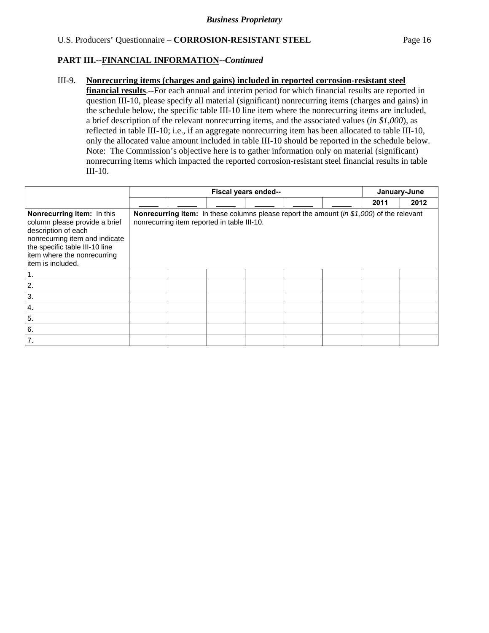### **PART III.--FINANCIAL INFORMATION***--Continued*

#### III-9. **Nonrecurring items (charges and gains) included in reported corrosion-resistant steel**

**financial results**.--For each annual and interim period for which financial results are reported in question III-10, please specify all material (significant) nonrecurring items (charges and gains) in the schedule below, the specific table III-10 line item where the nonrecurring items are included, a brief description of the relevant nonrecurring items, and the associated values (*in \$1,000*), as reflected in table III-10; i.e., if an aggregate nonrecurring item has been allocated to table III-10, only the allocated value amount included in table III-10 should be reported in the schedule below. Note: The Commission's objective here is to gather information only on material (significant) nonrecurring items which impacted the reported corrosion-resistant steel financial results in table III-10.

|                                                                                                                                                                                                            | Fiscal years ended-- |  |                                                                                                                                                 |  |  |  | January-June |      |
|------------------------------------------------------------------------------------------------------------------------------------------------------------------------------------------------------------|----------------------|--|-------------------------------------------------------------------------------------------------------------------------------------------------|--|--|--|--------------|------|
|                                                                                                                                                                                                            |                      |  |                                                                                                                                                 |  |  |  | 2011         | 2012 |
| Nonrecurring item: In this<br>column please provide a brief<br>description of each<br>nonrecurring item and indicate<br>the specific table III-10 line<br>item where the nonrecurring<br>item is included. |                      |  | <b>Nonrecurring item:</b> In these columns please report the amount (in \$1,000) of the relevant<br>nonrecurring item reported in table III-10. |  |  |  |              |      |
| $\mathbf 1$                                                                                                                                                                                                |                      |  |                                                                                                                                                 |  |  |  |              |      |
| 2.                                                                                                                                                                                                         |                      |  |                                                                                                                                                 |  |  |  |              |      |
| 3.                                                                                                                                                                                                         |                      |  |                                                                                                                                                 |  |  |  |              |      |
| 4.                                                                                                                                                                                                         |                      |  |                                                                                                                                                 |  |  |  |              |      |
| 5.                                                                                                                                                                                                         |                      |  |                                                                                                                                                 |  |  |  |              |      |
| 6.                                                                                                                                                                                                         |                      |  |                                                                                                                                                 |  |  |  |              |      |
| 7.                                                                                                                                                                                                         |                      |  |                                                                                                                                                 |  |  |  |              |      |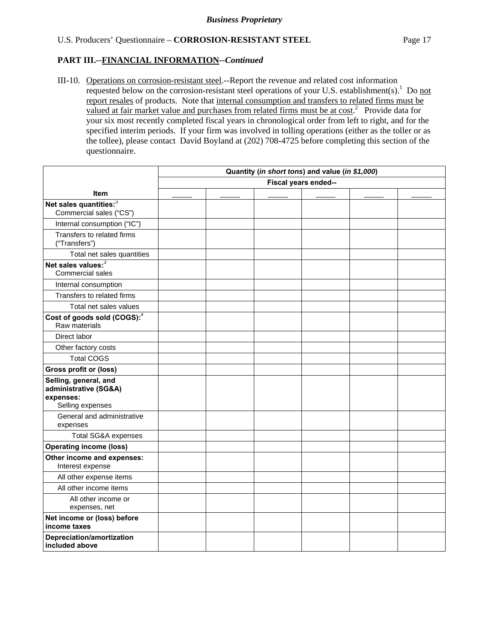#### **PART III.--FINANCIAL INFORMATION***--Continued*

III-10. Operations on corrosion-resistant steel.--Report the revenue and related cost information requested below on the corrosion-resistant steel operations of your U.S. establishment(s).<sup>1</sup> Do not report resales of products. Note that internal consumption and transfers to related firms must be valued at fair market value and purchases from related firms must be at  $cost<sup>2</sup>$ . Provide data for your six most recently completed fiscal years in chronological order from left to right, and for the specified interim periods. If your firm was involved in tolling operations (either as the toller or as the tollee), please contact David Boyland at (202) 708-4725 before completing this section of the questionnaire.

|                                                                                 | Quantity (in short tons) and value (in \$1,000) |  |  |  |  |  |  |  |
|---------------------------------------------------------------------------------|-------------------------------------------------|--|--|--|--|--|--|--|
|                                                                                 | Fiscal years ended--                            |  |  |  |  |  |  |  |
| <b>Item</b>                                                                     |                                                 |  |  |  |  |  |  |  |
| Net sales quantities: <sup>3</sup><br>Commercial sales ("CS")                   |                                                 |  |  |  |  |  |  |  |
| Internal consumption ("IC")                                                     |                                                 |  |  |  |  |  |  |  |
| Transfers to related firms<br>("Transfers")                                     |                                                 |  |  |  |  |  |  |  |
| Total net sales quantities                                                      |                                                 |  |  |  |  |  |  |  |
| Net sales values: <sup>3</sup><br>Commercial sales                              |                                                 |  |  |  |  |  |  |  |
| Internal consumption                                                            |                                                 |  |  |  |  |  |  |  |
| Transfers to related firms                                                      |                                                 |  |  |  |  |  |  |  |
| Total net sales values                                                          |                                                 |  |  |  |  |  |  |  |
| Cost of goods sold (COGS): <sup>4</sup><br>Raw materials                        |                                                 |  |  |  |  |  |  |  |
| Direct labor                                                                    |                                                 |  |  |  |  |  |  |  |
| Other factory costs                                                             |                                                 |  |  |  |  |  |  |  |
| <b>Total COGS</b>                                                               |                                                 |  |  |  |  |  |  |  |
| Gross profit or (loss)                                                          |                                                 |  |  |  |  |  |  |  |
| Selling, general, and<br>administrative (SG&A)<br>expenses:<br>Selling expenses |                                                 |  |  |  |  |  |  |  |
| General and administrative<br>expenses                                          |                                                 |  |  |  |  |  |  |  |
| Total SG&A expenses                                                             |                                                 |  |  |  |  |  |  |  |
| <b>Operating income (loss)</b>                                                  |                                                 |  |  |  |  |  |  |  |
| Other income and expenses:<br>Interest expense                                  |                                                 |  |  |  |  |  |  |  |
| All other expense items                                                         |                                                 |  |  |  |  |  |  |  |
| All other income items                                                          |                                                 |  |  |  |  |  |  |  |
| All other income or<br>expenses, net                                            |                                                 |  |  |  |  |  |  |  |
| Net income or (loss) before<br>income taxes                                     |                                                 |  |  |  |  |  |  |  |
| Depreciation/amortization<br>included above                                     |                                                 |  |  |  |  |  |  |  |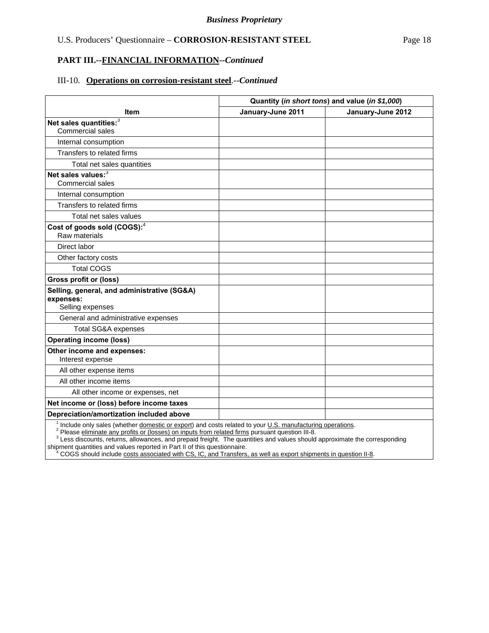#### **PART III.--FINANCIAL INFORMATION***--Continued*

#### III-10. **Operations on corrosion-resistant steel**.--*Continued*

|                                                           | Quantity (in short tons) and value (in \$1,000) |                   |  |  |
|-----------------------------------------------------------|-------------------------------------------------|-------------------|--|--|
| ltem                                                      | January-June 2011                               | January-June 2012 |  |  |
| Net sales quantities: <sup>3</sup>                        |                                                 |                   |  |  |
| <b>Commercial sales</b>                                   |                                                 |                   |  |  |
| Internal consumption                                      |                                                 |                   |  |  |
| Transfers to related firms                                |                                                 |                   |  |  |
| Total net sales quantities                                |                                                 |                   |  |  |
| Net sales values: <sup>3</sup><br><b>Commercial sales</b> |                                                 |                   |  |  |
| Internal consumption                                      |                                                 |                   |  |  |
| Transfers to related firms                                |                                                 |                   |  |  |
| Total net sales values                                    |                                                 |                   |  |  |
| Cost of goods sold (COGS): <sup>4</sup><br>Raw materials  |                                                 |                   |  |  |
| Direct labor                                              |                                                 |                   |  |  |
| Other factory costs                                       |                                                 |                   |  |  |
| <b>Total COGS</b>                                         |                                                 |                   |  |  |
| <b>Gross profit or (loss)</b>                             |                                                 |                   |  |  |
| Selling, general, and administrative (SG&A)               |                                                 |                   |  |  |
| expenses:<br>Selling expenses                             |                                                 |                   |  |  |
| General and administrative expenses                       |                                                 |                   |  |  |
| <b>Total SG&amp;A expenses</b>                            |                                                 |                   |  |  |
| <b>Operating income (loss)</b>                            |                                                 |                   |  |  |
| Other income and expenses:<br>Interest expense            |                                                 |                   |  |  |
| All other expense items                                   |                                                 |                   |  |  |
| All other income items                                    |                                                 |                   |  |  |
| All other income or expenses, net                         |                                                 |                   |  |  |
| Net income or (loss) before income taxes                  |                                                 |                   |  |  |
| Depreciation/amortization included above<br>1.            | $\sim$ $\sim$                                   |                   |  |  |

<sup>1</sup> Include only sales (whether *domestic or export*) and costs related to your <u>U.S. manufacturing operations</u>.<br><sup>2</sup> Please *eliminate any profits or (losses) on inputs from related firms pursuant question III-8.* 

<sup>3</sup> Less discounts, returns, allowances, and prepaid freight. The quantities and values should approximate the corresponding shipment quantities and values reported in Part II of this questionnaire.

<sup>4</sup> COGS should include costs associated with CS, IC, and Transfers, as well as export shipments in question II-8.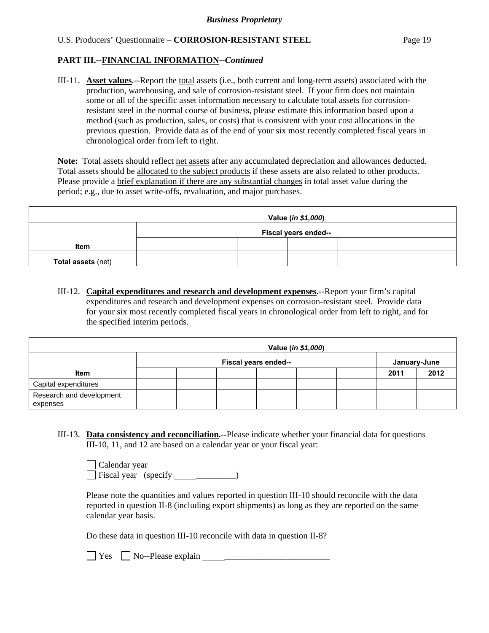# **PART III.--FINANCIAL INFORMATION***--Continued*

III-11. **Asset values**.--Report the total assets (i.e., both current and long-term assets) associated with the production, warehousing, and sale of corrosion-resistant steel. If your firm does not maintain some or all of the specific asset information necessary to calculate total assets for corrosionresistant steel in the normal course of business, please estimate this information based upon a method (such as production, sales, or costs) that is consistent with your cost allocations in the previous question. Provide data as of the end of your six most recently completed fiscal years in chronological order from left to right.

Note: Total assets should reflect net assets after any accumulated depreciation and allowances deducted. Total assets should be allocated to the subject products if these assets are also related to other products. Please provide a brief explanation if there are any substantial changes in total asset value during the period; e.g., due to asset write-offs, revaluation, and major purchases.

| Value (in \$1,000) |  |                      |  |  |  |  |  |  |  |  |
|--------------------|--|----------------------|--|--|--|--|--|--|--|--|
|                    |  | Fiscal years ended-- |  |  |  |  |  |  |  |  |
| <b>Item</b>        |  |                      |  |  |  |  |  |  |  |  |
| Total assets (net) |  |                      |  |  |  |  |  |  |  |  |

III-12. **Capital expenditures and research and development expenses.--**Report your firm's capital expenditures and research and development expenses on corrosion-resistant steel. Provide data for your six most recently completed fiscal years in chronological order from left to right, and for the specified interim periods.

|                                      | Value ( <i>in \$1,000</i> ) |                      |  |  |  |  |      |              |  |  |
|--------------------------------------|-----------------------------|----------------------|--|--|--|--|------|--------------|--|--|
|                                      |                             | Fiscal years ended-- |  |  |  |  |      | January-June |  |  |
| Item                                 |                             |                      |  |  |  |  | 2011 | 2012         |  |  |
| Capital expenditures                 |                             |                      |  |  |  |  |      |              |  |  |
| Research and development<br>expenses |                             |                      |  |  |  |  |      |              |  |  |

III-13. **Data consistency and reconciliation.--**Please indicate whether your financial data for questions III-10, 11, and 12 are based on a calendar year or your fiscal year:

| Calendar year               |  |  |
|-----------------------------|--|--|
| $\Box$ Fiscal year (specify |  |  |

Please note the quantities and values reported in question III-10 should reconcile with the data reported in question II-8 (including export shipments) as long as they are reported on the same calendar year basis.

Do these data in question III-10 reconcile with data in question II-8?

 $\Box$  Yes  $\Box$  No--Please explain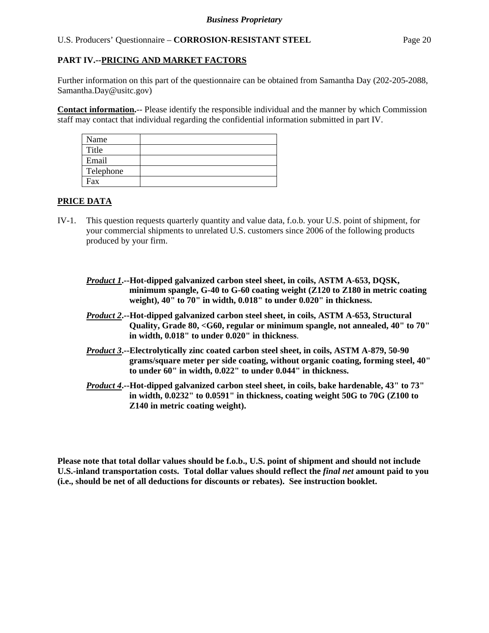# **PART IV.--PRICING AND MARKET FACTORS**

Further information on this part of the questionnaire can be obtained from Samantha Day (202-205-2088, Samantha.Day@usitc.gov)

**Contact information.**-- Please identify the responsible individual and the manner by which Commission staff may contact that individual regarding the confidential information submitted in part IV.

| Name      |  |
|-----------|--|
| Title     |  |
| Email     |  |
| Telephone |  |
| Fax       |  |

#### **PRICE DATA**

- IV-1. This question requests quarterly quantity and value data, f.o.b. your U.S. point of shipment, for your commercial shipments to unrelated U.S. customers since 2006 of the following products produced by your firm.
	- *Product 1***.--Hot-dipped galvanized carbon steel sheet, in coils, ASTM A-653, DQSK, minimum spangle, G-40 to G-60 coating weight (Z120 to Z180 in metric coating weight), 40" to 70" in width, 0.018" to under 0.020" in thickness.**
	- *Product 2***.--Hot-dipped galvanized carbon steel sheet, in coils, ASTM A-653, Structural Quality, Grade 80, <G60, regular or minimum spangle, not annealed, 40" to 70" in width, 0.018" to under 0.020" in thickness**.
	- *Product 3***.--Electrolytically zinc coated carbon steel sheet, in coils, ASTM A-879, 50-90 grams/square meter per side coating, without organic coating, forming steel, 40" to under 60" in width, 0.022" to under 0.044" in thickness.**
	- *Product 4***.--Hot-dipped galvanized carbon steel sheet, in coils, bake hardenable, 43" to 73" in width, 0.0232" to 0.0591" in thickness, coating weight 50G to 70G (Z100 to Z140 in metric coating weight).**

**Please note that total dollar values should be f.o.b., U.S. point of shipment and should not include U.S.-inland transportation costs. Total dollar values should reflect the** *final net* **amount paid to you (i.e., should be net of all deductions for discounts or rebates). See instruction booklet.**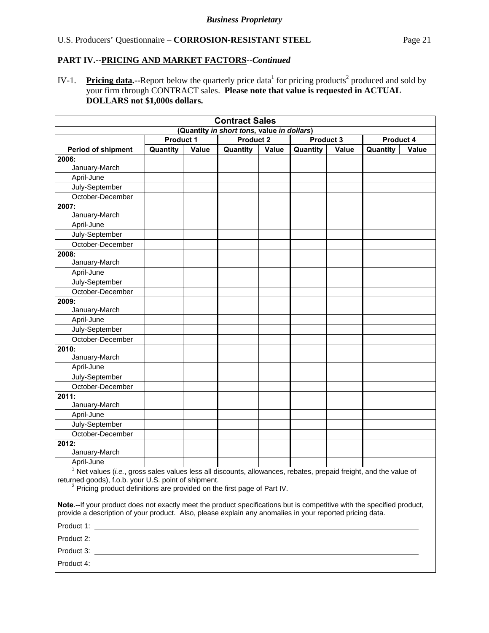IV-1. Pricing data.--Report below the quarterly price data<sup>1</sup> for pricing products<sup>2</sup> produced and sold by your firm through CONTRACT sales. **Please note that value is requested in ACTUAL DOLLARS not \$1,000s dollars.**

|                                                                                                                                                                                                                                                           |          |       | <b>Contract Sales</b> |       |          |       |          |       |
|-----------------------------------------------------------------------------------------------------------------------------------------------------------------------------------------------------------------------------------------------------------|----------|-------|-----------------------|-------|----------|-------|----------|-------|
| (Quantity in short tons, value in dollars)<br><b>Product 2</b><br>Product 3<br><b>Product 1</b><br>Product 4                                                                                                                                              |          |       |                       |       |          |       |          |       |
|                                                                                                                                                                                                                                                           |          |       |                       |       |          |       |          |       |
| <b>Period of shipment</b>                                                                                                                                                                                                                                 | Quantity | Value | Quantity              | Value | Quantity | Value | Quantity | Value |
| 2006:<br>January-March                                                                                                                                                                                                                                    |          |       |                       |       |          |       |          |       |
| April-June                                                                                                                                                                                                                                                |          |       |                       |       |          |       |          |       |
| July-September                                                                                                                                                                                                                                            |          |       |                       |       |          |       |          |       |
| October-December                                                                                                                                                                                                                                          |          |       |                       |       |          |       |          |       |
| 2007:                                                                                                                                                                                                                                                     |          |       |                       |       |          |       |          |       |
| January-March                                                                                                                                                                                                                                             |          |       |                       |       |          |       |          |       |
| April-June                                                                                                                                                                                                                                                |          |       |                       |       |          |       |          |       |
| July-September                                                                                                                                                                                                                                            |          |       |                       |       |          |       |          |       |
| October-December                                                                                                                                                                                                                                          |          |       |                       |       |          |       |          |       |
| 2008:                                                                                                                                                                                                                                                     |          |       |                       |       |          |       |          |       |
| January-March                                                                                                                                                                                                                                             |          |       |                       |       |          |       |          |       |
| April-June                                                                                                                                                                                                                                                |          |       |                       |       |          |       |          |       |
| July-September                                                                                                                                                                                                                                            |          |       |                       |       |          |       |          |       |
| October-December                                                                                                                                                                                                                                          |          |       |                       |       |          |       |          |       |
| 2009:                                                                                                                                                                                                                                                     |          |       |                       |       |          |       |          |       |
| January-March                                                                                                                                                                                                                                             |          |       |                       |       |          |       |          |       |
| April-June                                                                                                                                                                                                                                                |          |       |                       |       |          |       |          |       |
| July-September                                                                                                                                                                                                                                            |          |       |                       |       |          |       |          |       |
| October-December                                                                                                                                                                                                                                          |          |       |                       |       |          |       |          |       |
| 2010:<br>January-March                                                                                                                                                                                                                                    |          |       |                       |       |          |       |          |       |
| April-June                                                                                                                                                                                                                                                |          |       |                       |       |          |       |          |       |
| July-September                                                                                                                                                                                                                                            |          |       |                       |       |          |       |          |       |
| October-December                                                                                                                                                                                                                                          |          |       |                       |       |          |       |          |       |
| $\sqrt{2011}$<br>January-March                                                                                                                                                                                                                            |          |       |                       |       |          |       |          |       |
| April-June                                                                                                                                                                                                                                                |          |       |                       |       |          |       |          |       |
| July-September                                                                                                                                                                                                                                            |          |       |                       |       |          |       |          |       |
| October-December                                                                                                                                                                                                                                          |          |       |                       |       |          |       |          |       |
| 2012:                                                                                                                                                                                                                                                     |          |       |                       |       |          |       |          |       |
| January-March                                                                                                                                                                                                                                             |          |       |                       |       |          |       |          |       |
| April-June                                                                                                                                                                                                                                                |          |       |                       |       |          |       |          |       |
| $1$ Net values (i.e., gross sales values less all discounts, allowances, rebates, prepaid freight, and the value of<br>returned goods), f.o.b. your U.S. point of shipment.<br>$2$ Pricing product definitions are provided on the first page of Part IV. |          |       |                       |       |          |       |          |       |
| Note.--If your product does not exactly meet the product specifications but is competitive with the specified product,<br>provide a description of your product. Also, please explain any anomalies in your reported pricing data.                        |          |       |                       |       |          |       |          |       |
|                                                                                                                                                                                                                                                           |          |       |                       |       |          |       |          |       |
|                                                                                                                                                                                                                                                           |          |       |                       |       |          |       |          |       |
|                                                                                                                                                                                                                                                           |          |       |                       |       |          |       |          |       |
|                                                                                                                                                                                                                                                           |          |       |                       |       |          |       |          |       |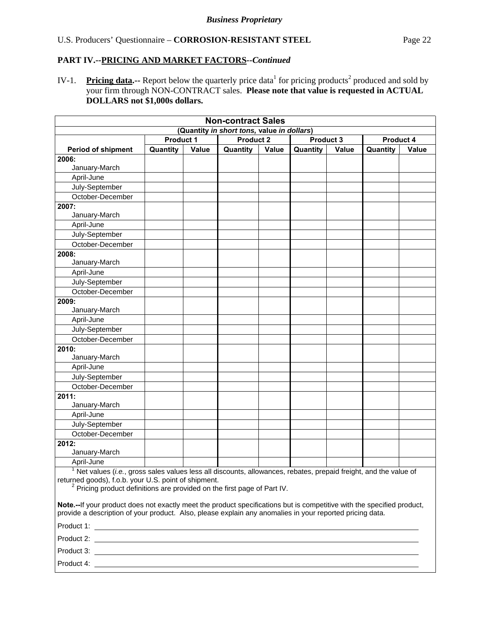IV-1. Pricing data.-- Report below the quarterly price data<sup>1</sup> for pricing products<sup>2</sup> produced and sold by your firm through NON-CONTRACT sales. **Please note that value is requested in ACTUAL DOLLARS not \$1,000s dollars.** 

| <b>Non-contract Sales</b><br>(Quantity in short tons, value in dollars)                                                                                                                                                                                   |          |       |          |       |                          |  |          |              |  |
|-----------------------------------------------------------------------------------------------------------------------------------------------------------------------------------------------------------------------------------------------------------|----------|-------|----------|-------|--------------------------|--|----------|--------------|--|
| <b>Product 2</b><br><b>Product 1</b><br><b>Product 3</b><br>Product 4                                                                                                                                                                                     |          |       |          |       |                          |  |          |              |  |
| <b>Period of shipment</b>                                                                                                                                                                                                                                 | Quantity | Value | Quantity | Value | Quantity<br><b>Value</b> |  | Quantity | <b>Value</b> |  |
| 2006:                                                                                                                                                                                                                                                     |          |       |          |       |                          |  |          |              |  |
| January-March                                                                                                                                                                                                                                             |          |       |          |       |                          |  |          |              |  |
| April-June                                                                                                                                                                                                                                                |          |       |          |       |                          |  |          |              |  |
| July-September                                                                                                                                                                                                                                            |          |       |          |       |                          |  |          |              |  |
| October-December                                                                                                                                                                                                                                          |          |       |          |       |                          |  |          |              |  |
| 2007:                                                                                                                                                                                                                                                     |          |       |          |       |                          |  |          |              |  |
| January-March                                                                                                                                                                                                                                             |          |       |          |       |                          |  |          |              |  |
| April-June                                                                                                                                                                                                                                                |          |       |          |       |                          |  |          |              |  |
| July-September                                                                                                                                                                                                                                            |          |       |          |       |                          |  |          |              |  |
| October-December                                                                                                                                                                                                                                          |          |       |          |       |                          |  |          |              |  |
| 2008:                                                                                                                                                                                                                                                     |          |       |          |       |                          |  |          |              |  |
| January-March                                                                                                                                                                                                                                             |          |       |          |       |                          |  |          |              |  |
| April-June                                                                                                                                                                                                                                                |          |       |          |       |                          |  |          |              |  |
| July-September                                                                                                                                                                                                                                            |          |       |          |       |                          |  |          |              |  |
| October-December                                                                                                                                                                                                                                          |          |       |          |       |                          |  |          |              |  |
| 2009:                                                                                                                                                                                                                                                     |          |       |          |       |                          |  |          |              |  |
| January-March                                                                                                                                                                                                                                             |          |       |          |       |                          |  |          |              |  |
| April-June                                                                                                                                                                                                                                                |          |       |          |       |                          |  |          |              |  |
| July-September                                                                                                                                                                                                                                            |          |       |          |       |                          |  |          |              |  |
| October-December                                                                                                                                                                                                                                          |          |       |          |       |                          |  |          |              |  |
| 2010:<br>January-March                                                                                                                                                                                                                                    |          |       |          |       |                          |  |          |              |  |
| April-June                                                                                                                                                                                                                                                |          |       |          |       |                          |  |          |              |  |
| July-September                                                                                                                                                                                                                                            |          |       |          |       |                          |  |          |              |  |
| October-December                                                                                                                                                                                                                                          |          |       |          |       |                          |  |          |              |  |
| 2011:                                                                                                                                                                                                                                                     |          |       |          |       |                          |  |          |              |  |
| January-March                                                                                                                                                                                                                                             |          |       |          |       |                          |  |          |              |  |
| April-June                                                                                                                                                                                                                                                |          |       |          |       |                          |  |          |              |  |
| July-September                                                                                                                                                                                                                                            |          |       |          |       |                          |  |          |              |  |
| October-December                                                                                                                                                                                                                                          |          |       |          |       |                          |  |          |              |  |
| 2012:<br>January-March                                                                                                                                                                                                                                    |          |       |          |       |                          |  |          |              |  |
| April-June                                                                                                                                                                                                                                                |          |       |          |       |                          |  |          |              |  |
| $1$ Net values (i.e., gross sales values less all discounts, allowances, rebates, prepaid freight, and the value of<br>returned goods), f.o.b. your U.S. point of shipment.<br>$2$ Pricing product definitions are provided on the first page of Part IV. |          |       |          |       |                          |  |          |              |  |
| Note.--If your product does not exactly meet the product specifications but is competitive with the specified product,<br>provide a description of your product. Also, please explain any anomalies in your reported pricing data.                        |          |       |          |       |                          |  |          |              |  |
|                                                                                                                                                                                                                                                           |          |       |          |       |                          |  |          |              |  |
|                                                                                                                                                                                                                                                           |          |       |          |       |                          |  |          |              |  |
|                                                                                                                                                                                                                                                           |          |       |          |       |                          |  |          |              |  |
|                                                                                                                                                                                                                                                           |          |       |          |       |                          |  |          |              |  |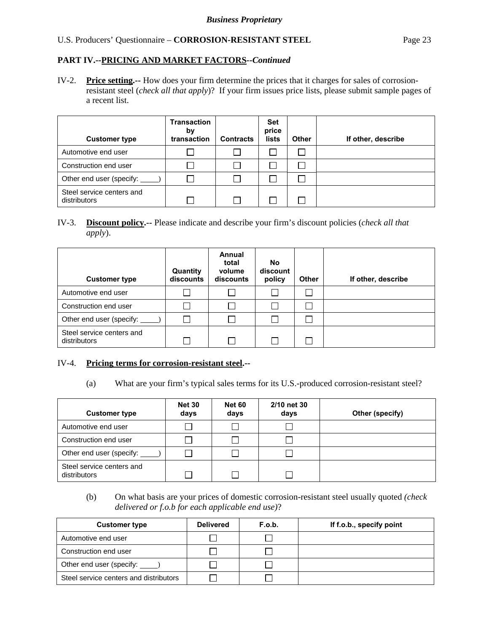# **PART IV.--PRICING AND MARKET FACTORS***--Continued*

IV-2. **Price setting.--** How does your firm determine the prices that it charges for sales of corrosionresistant steel (*check all that apply*)? If your firm issues price lists, please submit sample pages of a recent list.

| <b>Customer type</b>                      | <b>Transaction</b><br>by<br>transaction | <b>Contracts</b> | <b>Set</b><br>price<br>lists | <b>Other</b> | If other, describe |
|-------------------------------------------|-----------------------------------------|------------------|------------------------------|--------------|--------------------|
| Automotive end user                       |                                         |                  |                              | Г            |                    |
| Construction end user                     |                                         |                  |                              |              |                    |
| Other end user (specify: _                |                                         |                  |                              |              |                    |
| Steel service centers and<br>distributors |                                         |                  |                              |              |                    |

# IV-3. **Discount policy.--** Please indicate and describe your firm's discount policies (*check all that apply*).

| <b>Customer type</b>                      | Quantity<br>discounts | Annual<br>total<br>volume<br>discounts | <b>No</b><br>discount<br>policy | <b>Other</b> | If other, describe |
|-------------------------------------------|-----------------------|----------------------------------------|---------------------------------|--------------|--------------------|
| Automotive end user                       |                       |                                        |                                 |              |                    |
| Construction end user                     |                       |                                        |                                 |              |                    |
| Other end user (specify:                  |                       |                                        |                                 |              |                    |
| Steel service centers and<br>distributors |                       |                                        |                                 |              |                    |

#### IV-4. **Pricing terms for corrosion-resistant steel.--**

(a) What are your firm's typical sales terms for its U.S.-produced corrosion-resistant steel?

| <b>Customer type</b>                      | <b>Net 30</b><br>days | <b>Net 60</b><br>days | 2/10 net 30<br>days | Other (specify) |
|-------------------------------------------|-----------------------|-----------------------|---------------------|-----------------|
| Automotive end user                       |                       |                       |                     |                 |
| Construction end user                     |                       |                       |                     |                 |
| Other end user (specify: _____)           |                       |                       |                     |                 |
| Steel service centers and<br>distributors |                       |                       |                     |                 |

 (b) On what basis are your prices of domestic corrosion-resistant steel usually quoted *(check delivered or f.o.b for each applicable end use)*?

| <b>Customer type</b>                   | <b>Delivered</b> | F.o.b. | If f.o.b., specify point |
|----------------------------------------|------------------|--------|--------------------------|
| Automotive end user                    |                  |        |                          |
| Construction end user                  |                  |        |                          |
| Other end user (specify: _____)        |                  |        |                          |
| Steel service centers and distributors |                  |        |                          |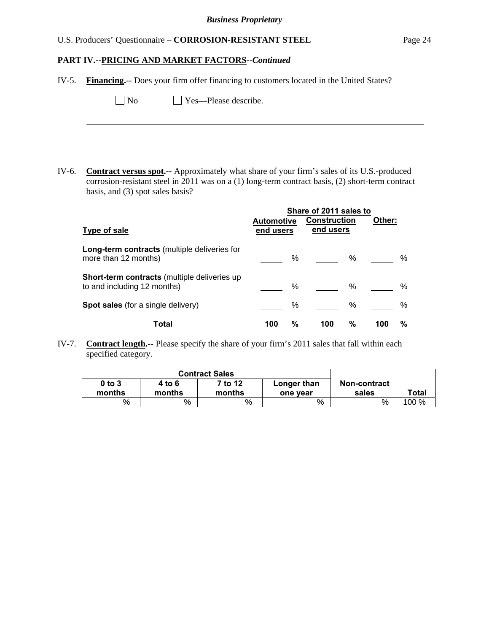# **PART IV.--PRICING AND MARKET FACTORS***--Continued*

| IV-5. | <b>Financing.</b> -- Does your firm offer financing to customers located in the United States?                                                                                                                                     |                                |   |                                  |               |        |      |  |  |  |
|-------|------------------------------------------------------------------------------------------------------------------------------------------------------------------------------------------------------------------------------------|--------------------------------|---|----------------------------------|---------------|--------|------|--|--|--|
|       | Yes-Please describe.<br>No                                                                                                                                                                                                         |                                |   |                                  |               |        |      |  |  |  |
|       |                                                                                                                                                                                                                                    |                                |   |                                  |               |        |      |  |  |  |
|       |                                                                                                                                                                                                                                    |                                |   |                                  |               |        |      |  |  |  |
|       |                                                                                                                                                                                                                                    |                                |   |                                  |               |        |      |  |  |  |
| IV-6. | Contract versus spot.-- Approximately what share of your firm's sales of its U.S.-produced<br>corrosion-resistant steel in 2011 was on a (1) long-term contract basis, (2) short-term contract<br>basis, and (3) spot sales basis? |                                |   |                                  |               |        |      |  |  |  |
|       | Share of 2011 sales to                                                                                                                                                                                                             |                                |   |                                  |               |        |      |  |  |  |
|       |                                                                                                                                                                                                                                    |                                |   |                                  |               | Other: |      |  |  |  |
|       | <b>Type of sale</b>                                                                                                                                                                                                                | <b>Automotive</b><br>end users |   | <b>Construction</b><br>end users |               |        |      |  |  |  |
|       | Long-term contracts (multiple deliveries for<br>more than 12 months)                                                                                                                                                               |                                | % |                                  | $\frac{0}{0}$ |        | $\%$ |  |  |  |
|       | Short-term contracts (multiple deliveries up<br>to and including 12 months)                                                                                                                                                        |                                | % |                                  | %             |        | $\%$ |  |  |  |
|       | Spot sales (for a single delivery)                                                                                                                                                                                                 |                                | % |                                  | $\%$          |        | %    |  |  |  |

IV-7. **Contract length.**-- Please specify the share of your firm's 2011 sales that fall within each specified category.

| $0$ to $3$<br>months | 4 to 6<br>months | 7 to 12<br>months | Longer than<br>one vear | Non-contract<br>sales | Total |
|----------------------|------------------|-------------------|-------------------------|-----------------------|-------|
| %                    | %                | %                 | %                       | %                     | 100 % |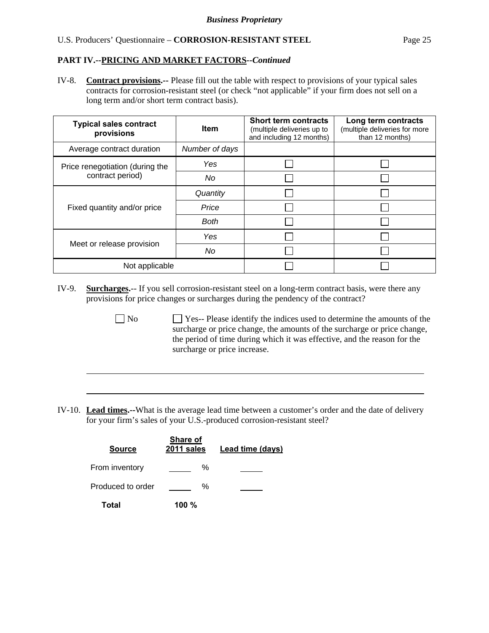# **PART IV.--PRICING AND MARKET FACTORS***--Continued*

IV-8. **Contract provisions.--** Please fill out the table with respect to provisions of your typical sales contracts for corrosion-resistant steel (or check "not applicable" if your firm does not sell on a long term and/or short term contract basis).

| <b>Typical sales contract</b><br>provisions | <b>Item</b>    | <b>Short term contracts</b><br>(multiple deliveries up to<br>and including 12 months) | Long term contracts<br>(multiple deliveries for more<br>than 12 months) |
|---------------------------------------------|----------------|---------------------------------------------------------------------------------------|-------------------------------------------------------------------------|
| Average contract duration                   | Number of days |                                                                                       |                                                                         |
| Price renegotiation (during the             | Yes            |                                                                                       |                                                                         |
| contract period)                            | No             |                                                                                       |                                                                         |
|                                             | Quantity       |                                                                                       |                                                                         |
| Fixed quantity and/or price                 | Price          |                                                                                       |                                                                         |
|                                             | <b>Both</b>    |                                                                                       |                                                                         |
|                                             | Yes            |                                                                                       |                                                                         |
| Meet or release provision                   | No             |                                                                                       |                                                                         |
| Not applicable                              |                |                                                                                       |                                                                         |

- IV-9. **Surcharges.**-- If you sell corrosion-resistant steel on a long-term contract basis, were there any provisions for price changes or surcharges during the pendency of the contract?
	- No Ses-- Please identify the indices used to determine the amounts of the surcharge or price change, the amounts of the surcharge or price change, the period of time during which it was effective, and the reason for the surcharge or price increase.
- IV-10. **Lead times.--**What is the average lead time between a customer's order and the date of delivery for your firm's sales of your U.S.-produced corrosion-resistant steel?

| <b>Source</b>     | Share of<br>2011 sales | Lead time (days) |
|-------------------|------------------------|------------------|
| From inventory    | ℅                      |                  |
| Produced to order | ℅                      |                  |
| Total             | 100 $%$                |                  |

 $\overline{a}$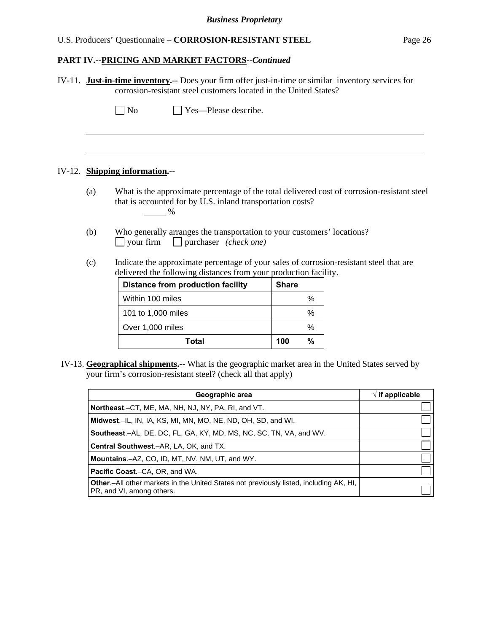# **PART IV.--PRICING AND MARKET FACTORS***--Continued*

|     |                                                                                                                                                                | IV-11. Just-in-time inventory.-- Does your firm offer just-in-time or similar inventory services for<br>corrosion-resistant steel customers located in the United States? |              |      |                                                                                                    |  |  |  |  |  |  |
|-----|----------------------------------------------------------------------------------------------------------------------------------------------------------------|---------------------------------------------------------------------------------------------------------------------------------------------------------------------------|--------------|------|----------------------------------------------------------------------------------------------------|--|--|--|--|--|--|
|     | $\Box$ No                                                                                                                                                      | Yes—Please describe.                                                                                                                                                      |              |      |                                                                                                    |  |  |  |  |  |  |
|     |                                                                                                                                                                |                                                                                                                                                                           |              |      |                                                                                                    |  |  |  |  |  |  |
|     | IV-12. Shipping information.--                                                                                                                                 |                                                                                                                                                                           |              |      |                                                                                                    |  |  |  |  |  |  |
| (a) | What is the approximate percentage of the total delivered cost of corrosion-resistant steel<br>that is accounted for by U.S. inland transportation costs?<br>% |                                                                                                                                                                           |              |      |                                                                                                    |  |  |  |  |  |  |
| (b) | Who generally arranges the transportation to your customers' locations?<br>$\Box$ your firm $\Box$ purchaser <i>(check one)</i>                                |                                                                                                                                                                           |              |      |                                                                                                    |  |  |  |  |  |  |
| (c) |                                                                                                                                                                | Indicate the approximate percentage of your sales of corrosion-resistant steel that are<br>delivered the following distances from your production facility.               |              |      |                                                                                                    |  |  |  |  |  |  |
|     |                                                                                                                                                                | <b>Distance from production facility</b>                                                                                                                                  | <b>Share</b> |      |                                                                                                    |  |  |  |  |  |  |
|     | Within 100 miles                                                                                                                                               |                                                                                                                                                                           |              | $\%$ |                                                                                                    |  |  |  |  |  |  |
|     | 101 to 1,000 miles                                                                                                                                             |                                                                                                                                                                           |              | %    |                                                                                                    |  |  |  |  |  |  |
|     | Over 1,000 miles                                                                                                                                               |                                                                                                                                                                           |              | %    |                                                                                                    |  |  |  |  |  |  |
|     |                                                                                                                                                                | <b>Total</b>                                                                                                                                                              | 100          | $\%$ |                                                                                                    |  |  |  |  |  |  |
|     |                                                                                                                                                                |                                                                                                                                                                           |              |      | IV-13. Geographical shipments.-- What is the geographic market area in the United States served by |  |  |  |  |  |  |

your firm's corrosion-resistant steel? (check all that apply)

| Geographic area                                                                                                             | $\sqrt{ }$ if applicable |
|-----------------------------------------------------------------------------------------------------------------------------|--------------------------|
| <b>Northeast.</b> –CT, ME, MA, NH, NJ, NY, PA, RI, and VT.                                                                  |                          |
| Midwest.-IL, IN, IA, KS, MI, MN, MO, NE, ND, OH, SD, and WI.                                                                |                          |
| <b>Southeast.–AL, DE, DC, FL, GA, KY, MD, MS, NC, SC, TN, VA, and WV.</b>                                                   |                          |
| <b>Central Southwest.–AR, LA, OK, and TX.</b>                                                                               |                          |
| <b>Mountains.-AZ, CO, ID, MT, NV, NM, UT, and WY.</b>                                                                       |                          |
| <b>Pacific Coast.–CA, OR, and WA.</b>                                                                                       |                          |
| <b>Other</b> .-All other markets in the United States not previously listed, including AK, HI,<br>PR, and VI, among others. |                          |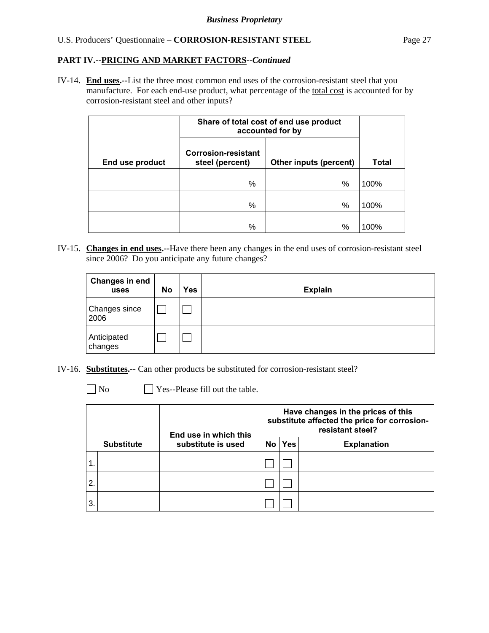IV-14. **End uses.--**List the three most common end uses of the corrosion-resistant steel that you manufacture. For each end-use product, what percentage of the total cost is accounted for by corrosion-resistant steel and other inputs?

|                 | Share of total cost of end use product<br>accounted for by |                        |       |
|-----------------|------------------------------------------------------------|------------------------|-------|
| End use product | <b>Corrosion-resistant</b><br>steel (percent)              | Other inputs (percent) | Total |
|                 | %                                                          | %                      | 100%  |
|                 | %                                                          | %                      | 100%  |
|                 | %                                                          | %                      | 100%  |

IV-15. **Changes in end uses.--**Have there been any changes in the end uses of corrosion-resistant steel since 2006? Do you anticipate any future changes?

| <b>Changes in end</b><br>uses | <b>No</b> | Yes | <b>Explain</b> |
|-------------------------------|-----------|-----|----------------|
| Changes since<br>2006         |           |     |                |
| Anticipated<br>changes        |           |     |                |

- IV-16. **Substitutes.--** Can other products be substituted for corrosion-resistant steel?
	- $\Box$  No  $\Box$  Yes--Please fill out the table.

|                |                   | End use in which this | Have changes in the prices of this<br>substitute affected the price for corrosion-<br>resistant steel? |            |                    |  |
|----------------|-------------------|-----------------------|--------------------------------------------------------------------------------------------------------|------------|--------------------|--|
|                | <b>Substitute</b> | substitute is used    | No l                                                                                                   | <b>Yes</b> | <b>Explanation</b> |  |
|                |                   |                       |                                                                                                        |            |                    |  |
| $\overline{2}$ |                   |                       |                                                                                                        |            |                    |  |
| 3.             |                   |                       |                                                                                                        |            |                    |  |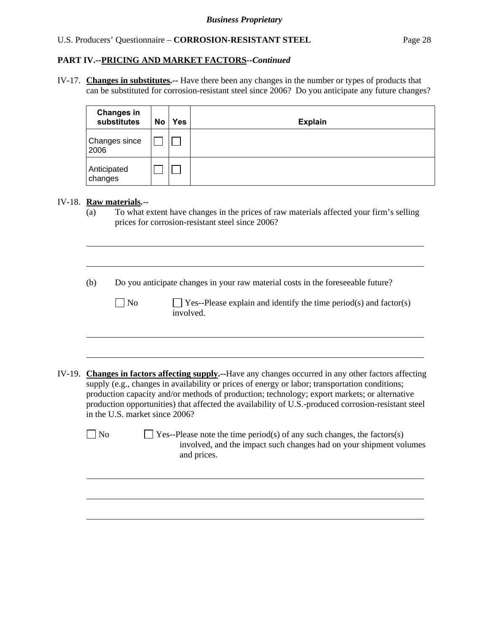#### **PART IV.--PRICING AND MARKET FACTORS***--Continued*

IV-17. **Changes in substitutes.--** Have there been any changes in the number or types of products that can be substituted for corrosion-resistant steel since 2006? Do you anticipate any future changes?

| <b>Changes in</b><br>substitutes | No | <b>Yes</b> | <b>Explain</b> |
|----------------------------------|----|------------|----------------|
| Changes since<br>2006            |    |            |                |
| Anticipated<br>changes           |    |            |                |

#### IV-18. **Raw materials.**--

l

 $\overline{a}$ 

l

(a) To what extent have changes in the prices of raw materials affected your firm's selling prices for corrosion-resistant steel since 2006?

(b) Do you anticipate changes in your raw material costs in the foreseeable future?

 $\Box$  No  $\Box$  Yes--Please explain and identify the time period(s) and factor(s) involved.

IV-19. **Changes in factors affecting supply.--**Have any changes occurred in any other factors affecting supply (e.g., changes in availability or prices of energy or labor; transportation conditions; production capacity and/or methods of production; technology; export markets; or alternative production opportunities) that affected the availability of U.S.-produced corrosion-resistant steel in the U.S. market since 2006?

 $\Box$  No  $\Box$  Yes--Please note the time period(s) of any such changes, the factors(s) involved, and the impact such changes had on your shipment volumes and prices.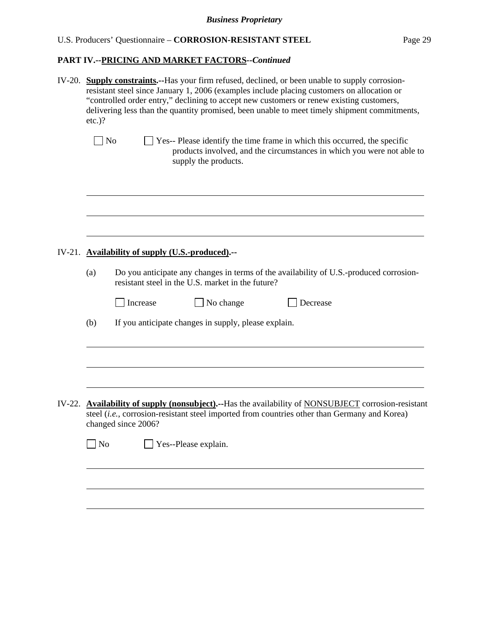# **PART IV.--PRICING AND MARKET FACTORS***--Continued*

|          | IV-20. Supply constraints.--Has your firm refused, declined, or been unable to supply corrosion-<br>resistant steel since January 1, 2006 (examples include placing customers on allocation or<br>"controlled order entry," declining to accept new customers or renew existing customers,<br>delivering less than the quantity promised, been unable to meet timely shipment commitments,<br>$etc.$ )? |                                                                                                                                                                                              |  |  |  |  |  |  |
|----------|---------------------------------------------------------------------------------------------------------------------------------------------------------------------------------------------------------------------------------------------------------------------------------------------------------------------------------------------------------------------------------------------------------|----------------------------------------------------------------------------------------------------------------------------------------------------------------------------------------------|--|--|--|--|--|--|
|          | N <sub>o</sub>                                                                                                                                                                                                                                                                                                                                                                                          | Yes-- Please identify the time frame in which this occurred, the specific<br>products involved, and the circumstances in which you were not able to<br>supply the products.                  |  |  |  |  |  |  |
|          |                                                                                                                                                                                                                                                                                                                                                                                                         | IV-21. Availability of supply (U.S.-produced).--                                                                                                                                             |  |  |  |  |  |  |
|          | (a)                                                                                                                                                                                                                                                                                                                                                                                                     | Do you anticipate any changes in terms of the availability of U.S.-produced corrosion-<br>resistant steel in the U.S. market in the future?                                                  |  |  |  |  |  |  |
|          |                                                                                                                                                                                                                                                                                                                                                                                                         | No change<br>Increase<br>Decrease                                                                                                                                                            |  |  |  |  |  |  |
|          | (b)                                                                                                                                                                                                                                                                                                                                                                                                     | If you anticipate changes in supply, please explain.                                                                                                                                         |  |  |  |  |  |  |
| $IV-22.$ |                                                                                                                                                                                                                                                                                                                                                                                                         | Availability of supply (nonsubject).--Has the availability of NONSUBJECT corrosion-resistant<br>steel (i.e., corrosion-resistant steel imported from countries other than Germany and Korea) |  |  |  |  |  |  |
|          | $\sqrt{\phantom{a}}$ No                                                                                                                                                                                                                                                                                                                                                                                 | changed since 2006?<br>Yes--Please explain.                                                                                                                                                  |  |  |  |  |  |  |
|          |                                                                                                                                                                                                                                                                                                                                                                                                         |                                                                                                                                                                                              |  |  |  |  |  |  |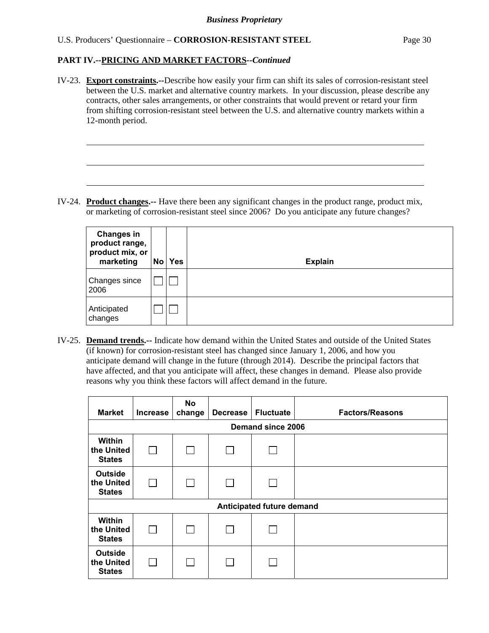# **PART IV.--PRICING AND MARKET FACTORS***--Continued*

l

IV-23. **Export constraints.--**Describe how easily your firm can shift its sales of corrosion-resistant steel between the U.S. market and alternative country markets. In your discussion, please describe any contracts, other sales arrangements, or other constraints that would prevent or retard your firm from shifting corrosion-resistant steel between the U.S. and alternative country markets within a 12-month period.

IV-24. **Product changes.--** Have there been any significant changes in the product range, product mix, or marketing of corrosion-resistant steel since 2006? Do you anticipate any future changes?

| <b>Changes in</b><br>product range,<br>product mix, or<br>marketing | No | <b>Yes</b> | <b>Explain</b> |
|---------------------------------------------------------------------|----|------------|----------------|
| Changes since<br>2006                                               |    |            |                |
| Anticipated<br>changes                                              |    |            |                |

IV-25. **Demand trends.--** Indicate how demand within the United States and outside of the United States (if known) for corrosion-resistant steel has changed since January 1, 2006, and how you anticipate demand will change in the future (through 2014). Describe the principal factors that have affected, and that you anticipate will affect, these changes in demand. Please also provide reasons why you think these factors will affect demand in the future.

| <b>Market</b>                                 | <b>Increase</b>          | <b>No</b><br>change | <b>Decrease</b> | <b>Fluctuate</b>          | <b>Factors/Reasons</b> |  |  |  |  |
|-----------------------------------------------|--------------------------|---------------------|-----------------|---------------------------|------------------------|--|--|--|--|
|                                               | <b>Demand since 2006</b> |                     |                 |                           |                        |  |  |  |  |
| <b>Within</b><br>the United<br><b>States</b>  |                          |                     |                 |                           |                        |  |  |  |  |
| <b>Outside</b><br>the United<br><b>States</b> |                          |                     |                 |                           |                        |  |  |  |  |
|                                               |                          |                     |                 | Anticipated future demand |                        |  |  |  |  |
| <b>Within</b><br>the United<br><b>States</b>  |                          |                     |                 |                           |                        |  |  |  |  |
| <b>Outside</b><br>the United<br><b>States</b> |                          |                     |                 |                           |                        |  |  |  |  |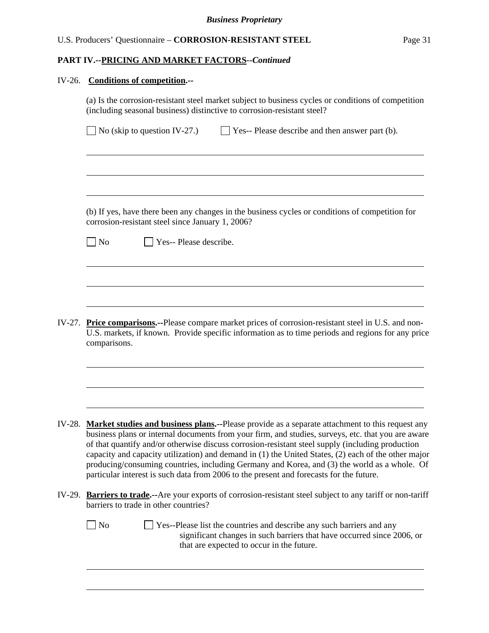#### IV-26. **Conditions of competition.--**

l

(a) Is the corrosion-resistant steel market subject to business cycles or conditions of competition (including seasonal business) distinctive to corrosion-resistant steel?  $\Box$  No (skip to question IV-27.)  $\Box$  Yes-- Please describe and then answer part (b).  $\overline{a}$  (b) If yes, have there been any changes in the business cycles or conditions of competition for corrosion-resistant steel since January 1, 2006?  $\neg$  No  $\neg$  Yes-- Please describe.  $\overline{a}$ IV-27. **Price comparisons.--**Please compare market prices of corrosion-resistant steel in U.S. and non-U.S. markets, if known. Provide specific information as to time periods and regions for any price comparisons. l IV-28. **Market studies and business plans.--**Please provide as a separate attachment to this request any business plans or internal documents from your firm, and studies, surveys, etc. that you are aware of that quantify and/or otherwise discuss corrosion-resistant steel supply (including production capacity and capacity utilization) and demand in (1) the United States, (2) each of the other major producing/consuming countries, including Germany and Korea, and (3) the world as a whole. Of particular interest is such data from 2006 to the present and forecasts for the future. IV-29. **Barriers to trade.--**Are your exports of corrosion-resistant steel subject to any tariff or non-tariff barriers to trade in other countries?

 $\Box$  No  $\Box$  Yes--Please list the countries and describe any such barriers and any significant changes in such barriers that have occurred since 2006, or that are expected to occur in the future.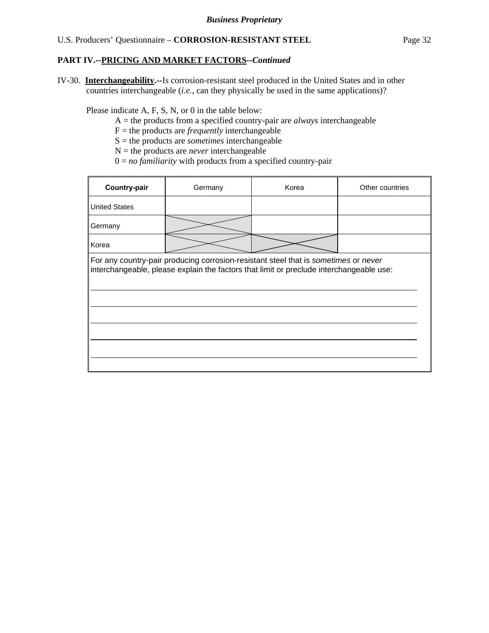IV-30. **Interchangeability.--**Is corrosion-resistant steel produced in the United States and in other countries interchangeable (*i.e.*, can they physically be used in the same applications)?

Please indicate A, F, S, N, or 0 in the table below:

- A = the products from a specified country-pair are *always* interchangeable
- $F =$  the products are *frequently* interchangeable
- S = the products are *sometimes* interchangeable
- $N =$  the products are *never* interchangeable
- $0 = no$  *familiarity* with products from a specified country-pair

| Country-pair         | Germany                                                                                                                                                                        | Korea | Other countries |
|----------------------|--------------------------------------------------------------------------------------------------------------------------------------------------------------------------------|-------|-----------------|
| <b>United States</b> |                                                                                                                                                                                |       |                 |
| Germany              |                                                                                                                                                                                |       |                 |
| Korea                |                                                                                                                                                                                |       |                 |
|                      | For any country-pair producing corrosion-resistant steel that is sometimes or never<br>interchangeable, please explain the factors that limit or preclude interchangeable use: |       |                 |